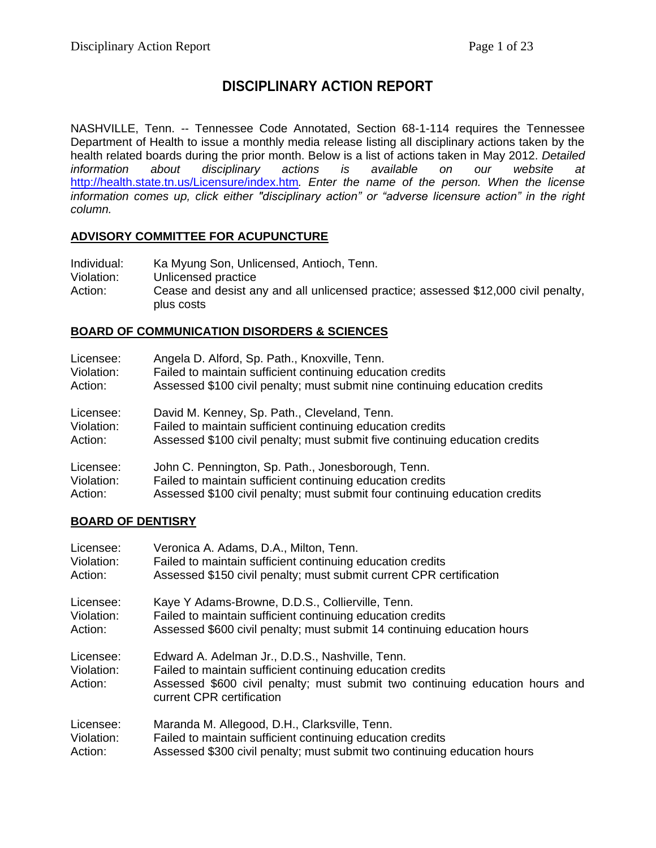# **DISCIPLINARY ACTION REPORT**

NASHVILLE, Tenn. -- Tennessee Code Annotated, Section 68-1-114 requires the Tennessee Department of Health to issue a monthly media release listing all disciplinary actions taken by the health related boards during the prior month. Below is a list of actions taken in May 2012. *Detailed information about disciplinary actions is available on our website at*  <http://health.state.tn.us/Licensure/index.htm>*. Enter the name of the person. When the license information comes up, click either "disciplinary action" or "adverse licensure action" in the right column.*

### **ADVISORY COMMITTEE FOR ACUPUNCTURE**

| Individual: | Ka Myung Son, Unlicensed, Antioch, Tenn.                                                         |
|-------------|--------------------------------------------------------------------------------------------------|
| Violation:  | Unlicensed practice                                                                              |
| Action:     | Cease and desist any and all unlicensed practice; assessed \$12,000 civil penalty,<br>plus costs |

### **BOARD OF COMMUNICATION DISORDERS & SCIENCES**

| Licensee:  | Angela D. Alford, Sp. Path., Knoxville, Tenn.                               |
|------------|-----------------------------------------------------------------------------|
| Violation: | Failed to maintain sufficient continuing education credits                  |
| Action:    | Assessed \$100 civil penalty; must submit nine continuing education credits |
| Licensee:  | David M. Kenney, Sp. Path., Cleveland, Tenn.                                |
| Violation: | Failed to maintain sufficient continuing education credits                  |
| Action:    | Assessed \$100 civil penalty; must submit five continuing education credits |
| Licensee:  | John C. Pennington, Sp. Path., Jonesborough, Tenn.                          |
| Violation: | Failed to maintain sufficient continuing education credits                  |
| Action:    | Assessed \$100 civil penalty; must submit four continuing education credits |

## **BOARD OF DENTISRY**

| Licensee:                          | Veronica A. Adams, D.A., Milton, Tenn.                                                                                                                                                                                     |
|------------------------------------|----------------------------------------------------------------------------------------------------------------------------------------------------------------------------------------------------------------------------|
| Violation:                         | Failed to maintain sufficient continuing education credits                                                                                                                                                                 |
| Action:                            | Assessed \$150 civil penalty; must submit current CPR certification                                                                                                                                                        |
| Licensee:                          | Kaye Y Adams-Browne, D.D.S., Collierville, Tenn.                                                                                                                                                                           |
| Violation:                         | Failed to maintain sufficient continuing education credits                                                                                                                                                                 |
| Action:                            | Assessed \$600 civil penalty; must submit 14 continuing education hours                                                                                                                                                    |
| Licensee:<br>Violation:<br>Action: | Edward A. Adelman Jr., D.D.S., Nashville, Tenn.<br>Failed to maintain sufficient continuing education credits<br>Assessed \$600 civil penalty; must submit two continuing education hours and<br>current CPR certification |
| Licensee:                          | Maranda M. Allegood, D.H., Clarksville, Tenn.                                                                                                                                                                              |
| Violation:                         | Failed to maintain sufficient continuing education credits                                                                                                                                                                 |
| Action:                            | Assessed \$300 civil penalty; must submit two continuing education hours                                                                                                                                                   |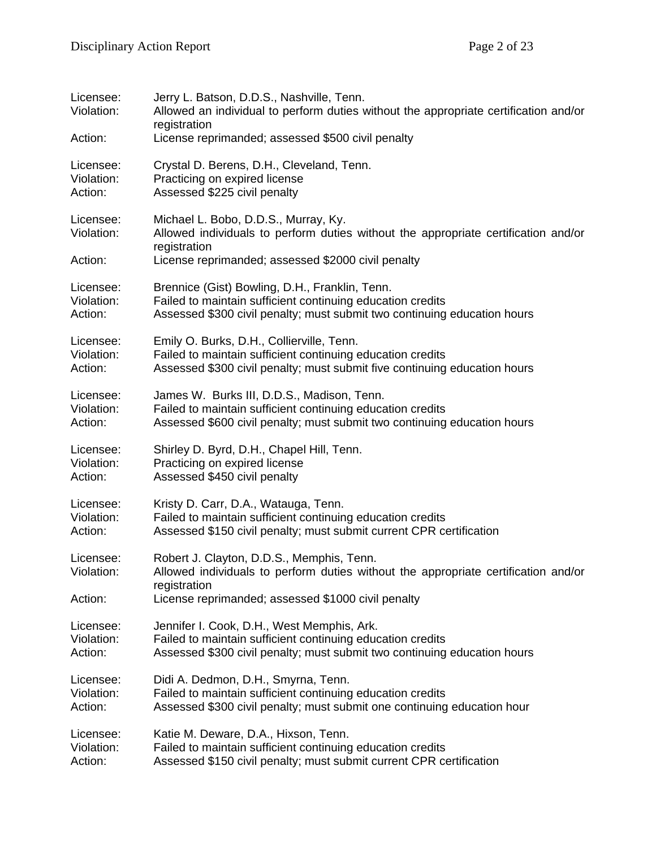| Licensee:<br>Violation:<br>Action: | Jerry L. Batson, D.D.S., Nashville, Tenn.<br>Allowed an individual to perform duties without the appropriate certification and/or<br>registration<br>License reprimanded; assessed \$500 civil penalty |
|------------------------------------|--------------------------------------------------------------------------------------------------------------------------------------------------------------------------------------------------------|
| Licensee:                          | Crystal D. Berens, D.H., Cleveland, Tenn.                                                                                                                                                              |
| Violation:                         | Practicing on expired license                                                                                                                                                                          |
| Action:                            | Assessed \$225 civil penalty                                                                                                                                                                           |
| Licensee:<br>Violation:<br>Action: | Michael L. Bobo, D.D.S., Murray, Ky.<br>Allowed individuals to perform duties without the appropriate certification and/or<br>registration<br>License reprimanded; assessed \$2000 civil penalty       |
| Licensee:                          | Brennice (Gist) Bowling, D.H., Franklin, Tenn.                                                                                                                                                         |
| Violation:                         | Failed to maintain sufficient continuing education credits                                                                                                                                             |
| Action:                            | Assessed \$300 civil penalty; must submit two continuing education hours                                                                                                                               |
| Licensee:                          | Emily O. Burks, D.H., Collierville, Tenn.                                                                                                                                                              |
| Violation:                         | Failed to maintain sufficient continuing education credits                                                                                                                                             |
| Action:                            | Assessed \$300 civil penalty; must submit five continuing education hours                                                                                                                              |
| Licensee:                          | James W. Burks III, D.D.S., Madison, Tenn.                                                                                                                                                             |
| Violation:                         | Failed to maintain sufficient continuing education credits                                                                                                                                             |
| Action:                            | Assessed \$600 civil penalty; must submit two continuing education hours                                                                                                                               |
| Licensee:                          | Shirley D. Byrd, D.H., Chapel Hill, Tenn.                                                                                                                                                              |
| Violation:                         | Practicing on expired license                                                                                                                                                                          |
| Action:                            | Assessed \$450 civil penalty                                                                                                                                                                           |
| Licensee:                          | Kristy D. Carr, D.A., Watauga, Tenn.                                                                                                                                                                   |
| Violation:                         | Failed to maintain sufficient continuing education credits                                                                                                                                             |
| Action:                            | Assessed \$150 civil penalty; must submit current CPR certification                                                                                                                                    |
| Licensee:<br>Violation:<br>Action: | Robert J. Clayton, D.D.S., Memphis, Tenn.<br>Allowed individuals to perform duties without the appropriate certification and/or<br>registration<br>License reprimanded; assessed \$1000 civil penalty  |
| Licensee:                          | Jennifer I. Cook, D.H., West Memphis, Ark.                                                                                                                                                             |
| Violation:                         | Failed to maintain sufficient continuing education credits                                                                                                                                             |
| Action:                            | Assessed \$300 civil penalty; must submit two continuing education hours                                                                                                                               |
| Licensee:                          | Didi A. Dedmon, D.H., Smyrna, Tenn.                                                                                                                                                                    |
| Violation:                         | Failed to maintain sufficient continuing education credits                                                                                                                                             |
| Action:                            | Assessed \$300 civil penalty; must submit one continuing education hour                                                                                                                                |
| Licensee:                          | Katie M. Deware, D.A., Hixson, Tenn.                                                                                                                                                                   |
| Violation:                         | Failed to maintain sufficient continuing education credits                                                                                                                                             |
| Action:                            | Assessed \$150 civil penalty; must submit current CPR certification                                                                                                                                    |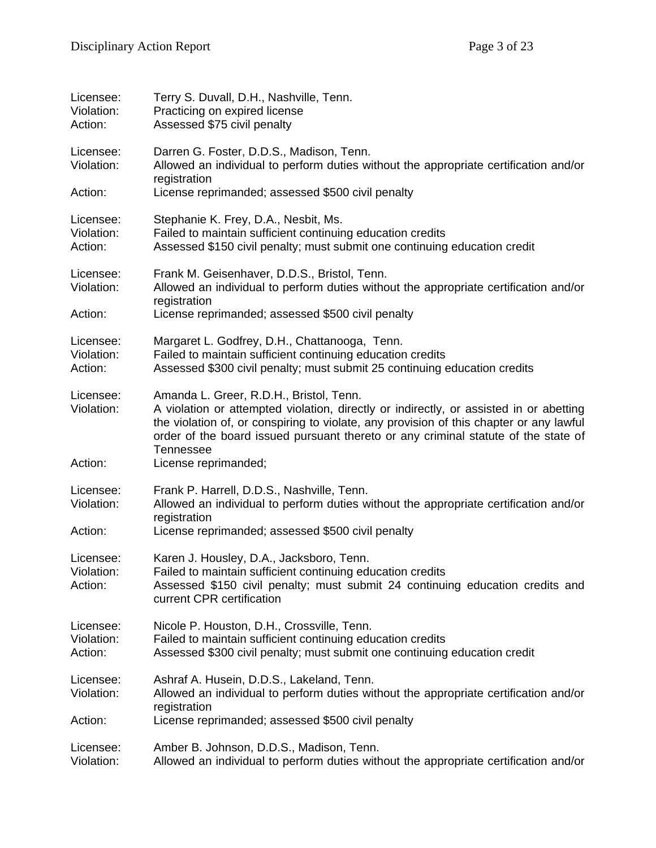| Licensee:<br>Violation:<br>Action: | Terry S. Duvall, D.H., Nashville, Tenn.<br>Practicing on expired license<br>Assessed \$75 civil penalty                                                                                                                                                                                                                         |
|------------------------------------|---------------------------------------------------------------------------------------------------------------------------------------------------------------------------------------------------------------------------------------------------------------------------------------------------------------------------------|
| Licensee:<br>Violation:            | Darren G. Foster, D.D.S., Madison, Tenn.<br>Allowed an individual to perform duties without the appropriate certification and/or<br>registration                                                                                                                                                                                |
| Action:                            | License reprimanded; assessed \$500 civil penalty                                                                                                                                                                                                                                                                               |
| Licensee:<br>Violation:<br>Action: | Stephanie K. Frey, D.A., Nesbit, Ms.<br>Failed to maintain sufficient continuing education credits<br>Assessed \$150 civil penalty; must submit one continuing education credit                                                                                                                                                 |
| Licensee:<br>Violation:<br>Action: | Frank M. Geisenhaver, D.D.S., Bristol, Tenn.<br>Allowed an individual to perform duties without the appropriate certification and/or<br>registration<br>License reprimanded; assessed \$500 civil penalty                                                                                                                       |
| Licensee:<br>Violation:<br>Action: | Margaret L. Godfrey, D.H., Chattanooga, Tenn.<br>Failed to maintain sufficient continuing education credits<br>Assessed \$300 civil penalty; must submit 25 continuing education credits                                                                                                                                        |
| Licensee:<br>Violation:            | Amanda L. Greer, R.D.H., Bristol, Tenn.<br>A violation or attempted violation, directly or indirectly, or assisted in or abetting<br>the violation of, or conspiring to violate, any provision of this chapter or any lawful<br>order of the board issued pursuant thereto or any criminal statute of the state of<br>Tennessee |
| Action:                            | License reprimanded;                                                                                                                                                                                                                                                                                                            |
| Licensee:<br>Violation:            | Frank P. Harrell, D.D.S., Nashville, Tenn.<br>Allowed an individual to perform duties without the appropriate certification and/or<br>registration                                                                                                                                                                              |
| Action:                            | License reprimanded; assessed \$500 civil penalty                                                                                                                                                                                                                                                                               |
| Licensee:<br>Violation:<br>Action: | Karen J. Housley, D.A., Jacksboro, Tenn.<br>Failed to maintain sufficient continuing education credits<br>Assessed \$150 civil penalty; must submit 24 continuing education credits and<br>current CPR certification                                                                                                            |
| Licensee:<br>Violation:<br>Action: | Nicole P. Houston, D.H., Crossville, Tenn.<br>Failed to maintain sufficient continuing education credits<br>Assessed \$300 civil penalty; must submit one continuing education credit                                                                                                                                           |
| Licensee:<br>Violation:            | Ashraf A. Husein, D.D.S., Lakeland, Tenn.<br>Allowed an individual to perform duties without the appropriate certification and/or<br>registration                                                                                                                                                                               |
| Action:                            | License reprimanded; assessed \$500 civil penalty                                                                                                                                                                                                                                                                               |
| Licensee:<br>Violation:            | Amber B. Johnson, D.D.S., Madison, Tenn.<br>Allowed an individual to perform duties without the appropriate certification and/or                                                                                                                                                                                                |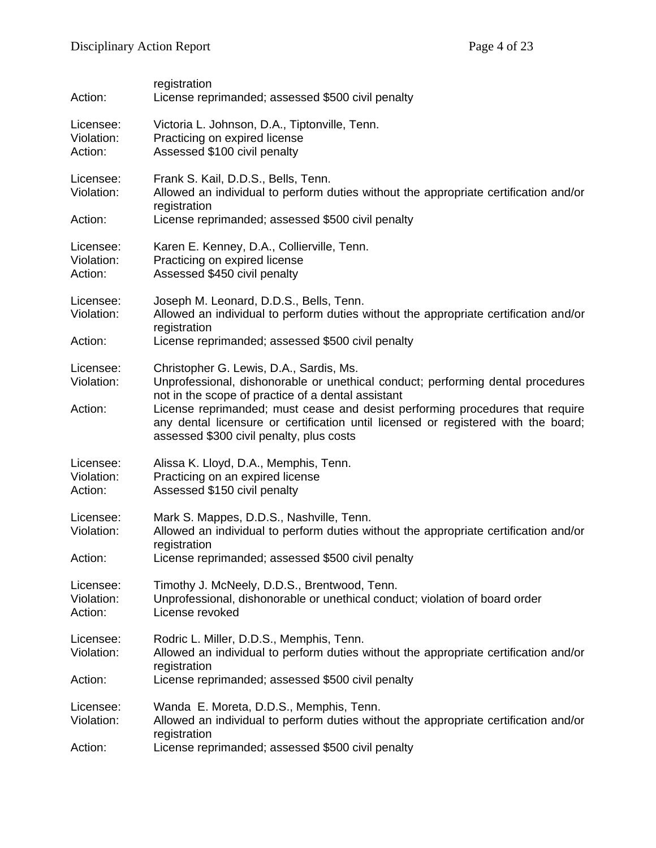| Action:                            | registration<br>License reprimanded; assessed \$500 civil penalty                                                                                                                                                                                                                                                                                                                                   |
|------------------------------------|-----------------------------------------------------------------------------------------------------------------------------------------------------------------------------------------------------------------------------------------------------------------------------------------------------------------------------------------------------------------------------------------------------|
| Licensee:<br>Violation:<br>Action: | Victoria L. Johnson, D.A., Tiptonville, Tenn.<br>Practicing on expired license<br>Assessed \$100 civil penalty                                                                                                                                                                                                                                                                                      |
| Licensee:<br>Violation:<br>Action: | Frank S. Kail, D.D.S., Bells, Tenn.<br>Allowed an individual to perform duties without the appropriate certification and/or<br>registration<br>License reprimanded; assessed \$500 civil penalty                                                                                                                                                                                                    |
| Licensee:<br>Violation:<br>Action: | Karen E. Kenney, D.A., Collierville, Tenn.<br>Practicing on expired license<br>Assessed \$450 civil penalty                                                                                                                                                                                                                                                                                         |
| Licensee:<br>Violation:<br>Action: | Joseph M. Leonard, D.D.S., Bells, Tenn.<br>Allowed an individual to perform duties without the appropriate certification and/or<br>registration<br>License reprimanded; assessed \$500 civil penalty                                                                                                                                                                                                |
| Licensee:<br>Violation:<br>Action: | Christopher G. Lewis, D.A., Sardis, Ms.<br>Unprofessional, dishonorable or unethical conduct; performing dental procedures<br>not in the scope of practice of a dental assistant<br>License reprimanded; must cease and desist performing procedures that require<br>any dental licensure or certification until licensed or registered with the board;<br>assessed \$300 civil penalty, plus costs |
| Licensee:<br>Violation:<br>Action: | Alissa K. Lloyd, D.A., Memphis, Tenn.<br>Practicing on an expired license<br>Assessed \$150 civil penalty                                                                                                                                                                                                                                                                                           |
| Licensee:<br>Violation:<br>Action: | Mark S. Mappes, D.D.S., Nashville, Tenn.<br>Allowed an individual to perform duties without the appropriate certification and/or<br>registration<br>License reprimanded; assessed \$500 civil penalty                                                                                                                                                                                               |
| Licensee:<br>Violation:<br>Action: | Timothy J. McNeely, D.D.S., Brentwood, Tenn.<br>Unprofessional, dishonorable or unethical conduct; violation of board order<br>License revoked                                                                                                                                                                                                                                                      |
| Licensee:<br>Violation:            | Rodric L. Miller, D.D.S., Memphis, Tenn.<br>Allowed an individual to perform duties without the appropriate certification and/or<br>registration                                                                                                                                                                                                                                                    |
| Action:                            | License reprimanded; assessed \$500 civil penalty                                                                                                                                                                                                                                                                                                                                                   |
| Licensee:<br>Violation:<br>Action: | Wanda E. Moreta, D.D.S., Memphis, Tenn.<br>Allowed an individual to perform duties without the appropriate certification and/or<br>registration<br>License reprimanded; assessed \$500 civil penalty                                                                                                                                                                                                |
|                                    |                                                                                                                                                                                                                                                                                                                                                                                                     |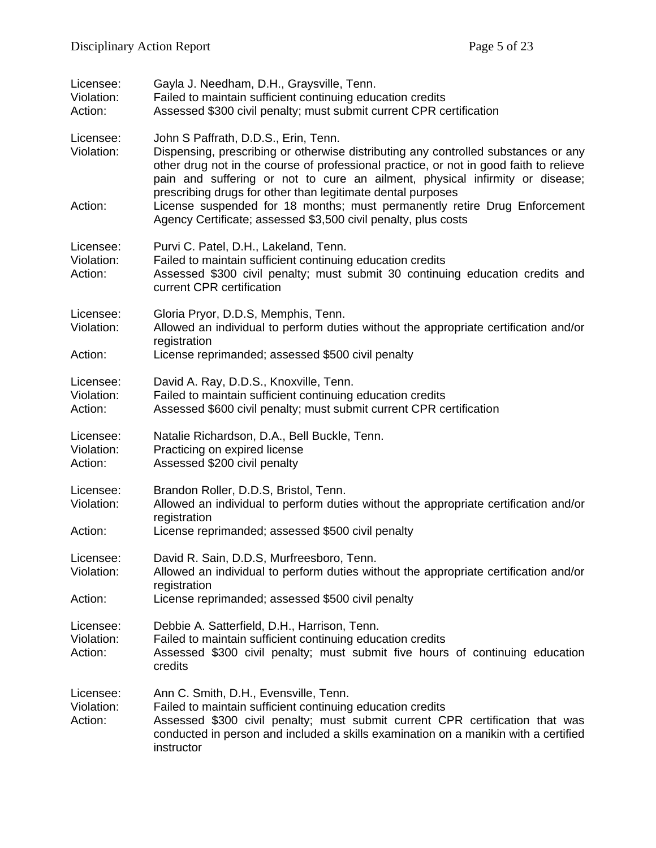| Licensee:<br>Violation:<br>Action: | Gayla J. Needham, D.H., Graysville, Tenn.<br>Failed to maintain sufficient continuing education credits<br>Assessed \$300 civil penalty; must submit current CPR certification                                                                                                                                                                                                                                                                                                                                     |
|------------------------------------|--------------------------------------------------------------------------------------------------------------------------------------------------------------------------------------------------------------------------------------------------------------------------------------------------------------------------------------------------------------------------------------------------------------------------------------------------------------------------------------------------------------------|
| Licensee:<br>Violation:<br>Action: | John S Paffrath, D.D.S., Erin, Tenn.<br>Dispensing, prescribing or otherwise distributing any controlled substances or any<br>other drug not in the course of professional practice, or not in good faith to relieve<br>pain and suffering or not to cure an ailment, physical infirmity or disease;<br>prescribing drugs for other than legitimate dental purposes<br>License suspended for 18 months; must permanently retire Drug Enforcement<br>Agency Certificate; assessed \$3,500 civil penalty, plus costs |
| Licensee:<br>Violation:<br>Action: | Purvi C. Patel, D.H., Lakeland, Tenn.<br>Failed to maintain sufficient continuing education credits<br>Assessed \$300 civil penalty; must submit 30 continuing education credits and<br>current CPR certification                                                                                                                                                                                                                                                                                                  |
| Licensee:<br>Violation:<br>Action: | Gloria Pryor, D.D.S, Memphis, Tenn.<br>Allowed an individual to perform duties without the appropriate certification and/or<br>registration<br>License reprimanded; assessed \$500 civil penalty                                                                                                                                                                                                                                                                                                                   |
| Licensee:<br>Violation:<br>Action: | David A. Ray, D.D.S., Knoxville, Tenn.<br>Failed to maintain sufficient continuing education credits<br>Assessed \$600 civil penalty; must submit current CPR certification                                                                                                                                                                                                                                                                                                                                        |
| Licensee:<br>Violation:<br>Action: | Natalie Richardson, D.A., Bell Buckle, Tenn.<br>Practicing on expired license<br>Assessed \$200 civil penalty                                                                                                                                                                                                                                                                                                                                                                                                      |
| Licensee:<br>Violation:<br>Action: | Brandon Roller, D.D.S, Bristol, Tenn.<br>Allowed an individual to perform duties without the appropriate certification and/or<br>registration<br>License reprimanded; assessed \$500 civil penalty                                                                                                                                                                                                                                                                                                                 |
| Licensee:<br>Violation:<br>Action: | David R. Sain, D.D.S, Murfreesboro, Tenn.<br>Allowed an individual to perform duties without the appropriate certification and/or<br>registration<br>License reprimanded; assessed \$500 civil penalty                                                                                                                                                                                                                                                                                                             |
| Licensee:<br>Violation:<br>Action: | Debbie A. Satterfield, D.H., Harrison, Tenn.<br>Failed to maintain sufficient continuing education credits<br>Assessed \$300 civil penalty; must submit five hours of continuing education<br>credits                                                                                                                                                                                                                                                                                                              |
| Licensee:<br>Violation:<br>Action: | Ann C. Smith, D.H., Evensville, Tenn.<br>Failed to maintain sufficient continuing education credits<br>Assessed \$300 civil penalty; must submit current CPR certification that was<br>conducted in person and included a skills examination on a manikin with a certified<br>instructor                                                                                                                                                                                                                           |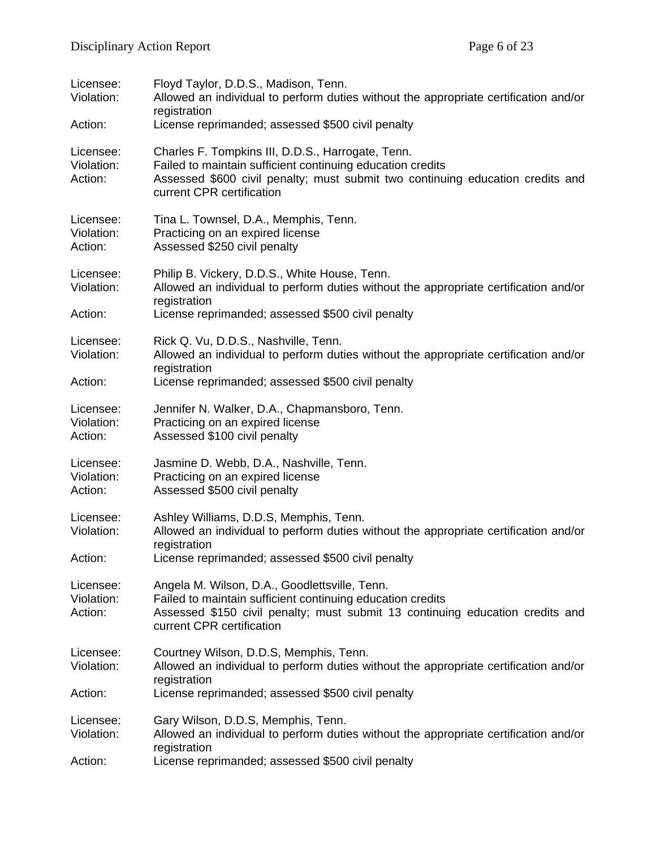| Licensee:<br>Violation:            | Floyd Taylor, D.D.S., Madison, Tenn.<br>Allowed an individual to perform duties without the appropriate certification and/or<br>registration                                                                                   |
|------------------------------------|--------------------------------------------------------------------------------------------------------------------------------------------------------------------------------------------------------------------------------|
| Action:                            | License reprimanded; assessed \$500 civil penalty                                                                                                                                                                              |
| Licensee:<br>Violation:<br>Action: | Charles F. Tompkins III, D.D.S., Harrogate, Tenn.<br>Failed to maintain sufficient continuing education credits<br>Assessed \$600 civil penalty; must submit two continuing education credits and<br>current CPR certification |
| Licensee:<br>Violation:<br>Action: | Tina L. Townsel, D.A., Memphis, Tenn.<br>Practicing on an expired license<br>Assessed \$250 civil penalty                                                                                                                      |
| Licensee:<br>Violation:<br>Action: | Philip B. Vickery, D.D.S., White House, Tenn.<br>Allowed an individual to perform duties without the appropriate certification and/or<br>registration<br>License reprimanded; assessed \$500 civil penalty                     |
|                                    |                                                                                                                                                                                                                                |
| Licensee:<br>Violation:            | Rick Q. Vu, D.D.S., Nashville, Tenn.<br>Allowed an individual to perform duties without the appropriate certification and/or<br>registration                                                                                   |
| Action:                            | License reprimanded; assessed \$500 civil penalty                                                                                                                                                                              |
| Licensee:<br>Violation:<br>Action: | Jennifer N. Walker, D.A., Chapmansboro, Tenn.<br>Practicing on an expired license<br>Assessed \$100 civil penalty                                                                                                              |
| Licensee:<br>Violation:<br>Action: | Jasmine D. Webb, D.A., Nashville, Tenn.<br>Practicing on an expired license<br>Assessed \$500 civil penalty                                                                                                                    |
| Licensee:<br>Violation:<br>Action: | Ashley Williams, D.D.S, Memphis, Tenn.<br>Allowed an individual to perform duties without the appropriate certification and/or<br>registration<br>License reprimanded; assessed \$500 civil penalty                            |
| Licensee:<br>Violation:<br>Action: | Angela M. Wilson, D.A., Goodlettsville, Tenn.<br>Failed to maintain sufficient continuing education credits<br>Assessed \$150 civil penalty; must submit 13 continuing education credits and<br>current CPR certification      |
| Licensee:<br>Violation:            | Courtney Wilson, D.D.S, Memphis, Tenn.<br>Allowed an individual to perform duties without the appropriate certification and/or<br>registration                                                                                 |
| Action:                            | License reprimanded; assessed \$500 civil penalty                                                                                                                                                                              |
| Licensee:<br>Violation:<br>Action: | Gary Wilson, D.D.S, Memphis, Tenn.<br>Allowed an individual to perform duties without the appropriate certification and/or<br>registration<br>License reprimanded; assessed \$500 civil penalty                                |
|                                    |                                                                                                                                                                                                                                |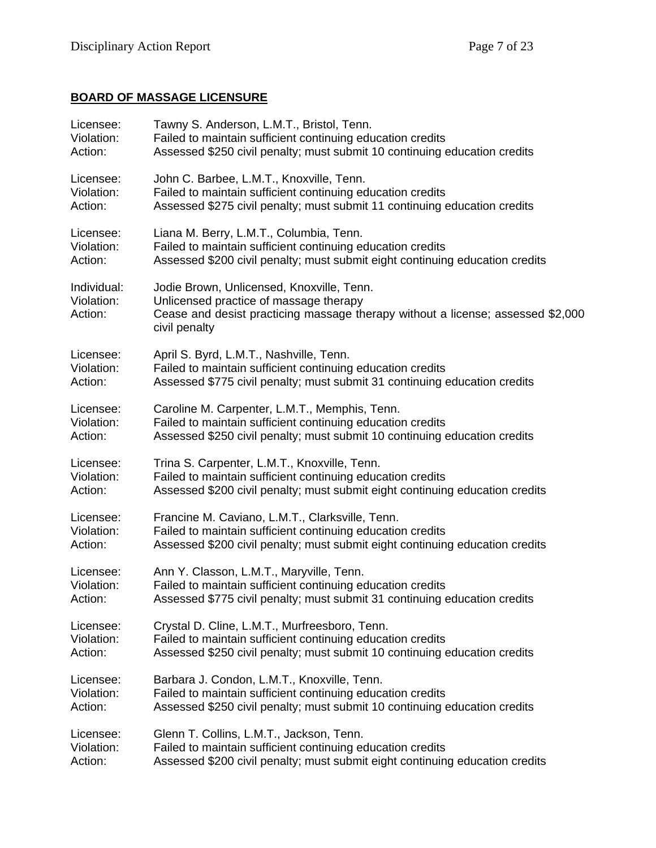# **BOARD OF MASSAGE LICENSURE**

| Licensee:                            | Tawny S. Anderson, L.M.T., Bristol, Tenn.                                                                                                                                               |
|--------------------------------------|-----------------------------------------------------------------------------------------------------------------------------------------------------------------------------------------|
| Violation:                           | Failed to maintain sufficient continuing education credits                                                                                                                              |
| Action:                              | Assessed \$250 civil penalty; must submit 10 continuing education credits                                                                                                               |
| Licensee:                            | John C. Barbee, L.M.T., Knoxville, Tenn.                                                                                                                                                |
| Violation:                           | Failed to maintain sufficient continuing education credits                                                                                                                              |
| Action:                              | Assessed \$275 civil penalty; must submit 11 continuing education credits                                                                                                               |
| Licensee:                            | Liana M. Berry, L.M.T., Columbia, Tenn.                                                                                                                                                 |
| Violation:                           | Failed to maintain sufficient continuing education credits                                                                                                                              |
| Action:                              | Assessed \$200 civil penalty; must submit eight continuing education credits                                                                                                            |
| Individual:<br>Violation:<br>Action: | Jodie Brown, Unlicensed, Knoxville, Tenn.<br>Unlicensed practice of massage therapy<br>Cease and desist practicing massage therapy without a license; assessed \$2,000<br>civil penalty |
| Licensee:                            | April S. Byrd, L.M.T., Nashville, Tenn.                                                                                                                                                 |
| Violation:                           | Failed to maintain sufficient continuing education credits                                                                                                                              |
| Action:                              | Assessed \$775 civil penalty; must submit 31 continuing education credits                                                                                                               |
| Licensee:                            | Caroline M. Carpenter, L.M.T., Memphis, Tenn.                                                                                                                                           |
| Violation:                           | Failed to maintain sufficient continuing education credits                                                                                                                              |
| Action:                              | Assessed \$250 civil penalty; must submit 10 continuing education credits                                                                                                               |
| Licensee:                            | Trina S. Carpenter, L.M.T., Knoxville, Tenn.                                                                                                                                            |
| Violation:                           | Failed to maintain sufficient continuing education credits                                                                                                                              |
| Action:                              | Assessed \$200 civil penalty; must submit eight continuing education credits                                                                                                            |
| Licensee:                            | Francine M. Caviano, L.M.T., Clarksville, Tenn.                                                                                                                                         |
| Violation:                           | Failed to maintain sufficient continuing education credits                                                                                                                              |
| Action:                              | Assessed \$200 civil penalty; must submit eight continuing education credits                                                                                                            |
| Licensee:                            | Ann Y. Classon, L.M.T., Maryville, Tenn.                                                                                                                                                |
| Violation:                           | Failed to maintain sufficient continuing education credits                                                                                                                              |
| Action:                              | Assessed \$775 civil penalty; must submit 31 continuing education credits                                                                                                               |
| Licensee:                            | Crystal D. Cline, L.M.T., Murfreesboro, Tenn.                                                                                                                                           |
| Violation:                           | Failed to maintain sufficient continuing education credits                                                                                                                              |
| Action:                              | Assessed \$250 civil penalty; must submit 10 continuing education credits                                                                                                               |
| Licensee:                            | Barbara J. Condon, L.M.T., Knoxville, Tenn.                                                                                                                                             |
| Violation:                           | Failed to maintain sufficient continuing education credits                                                                                                                              |
| Action:                              | Assessed \$250 civil penalty; must submit 10 continuing education credits                                                                                                               |
| Licensee:                            | Glenn T. Collins, L.M.T., Jackson, Tenn.                                                                                                                                                |
| Violation:                           | Failed to maintain sufficient continuing education credits                                                                                                                              |
| Action:                              | Assessed \$200 civil penalty; must submit eight continuing education credits                                                                                                            |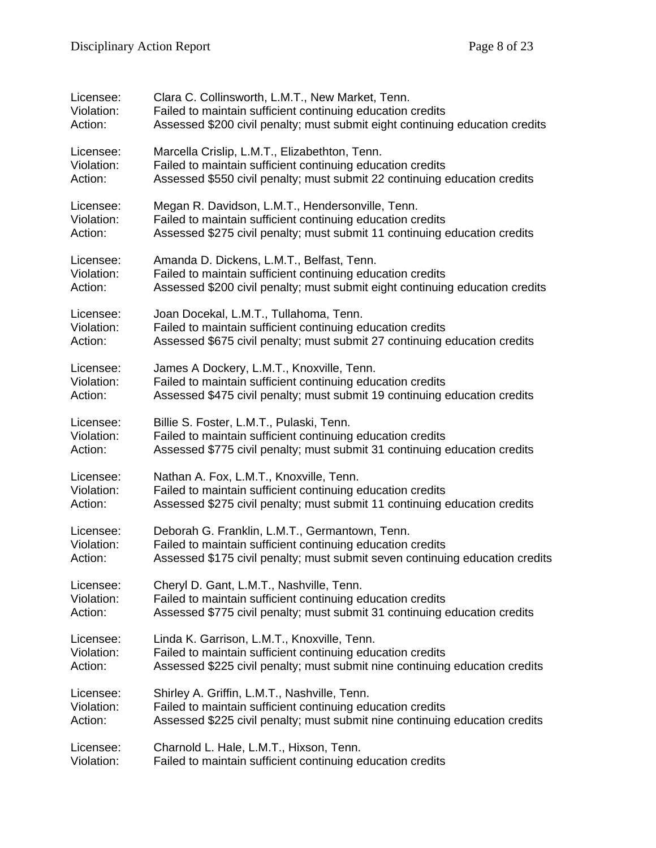| Licensee:  | Clara C. Collinsworth, L.M.T., New Market, Tenn.                             |
|------------|------------------------------------------------------------------------------|
| Violation: | Failed to maintain sufficient continuing education credits                   |
| Action:    | Assessed \$200 civil penalty; must submit eight continuing education credits |
| Licensee:  | Marcella Crislip, L.M.T., Elizabethton, Tenn.                                |
| Violation: | Failed to maintain sufficient continuing education credits                   |
| Action:    | Assessed \$550 civil penalty; must submit 22 continuing education credits    |
| Licensee:  | Megan R. Davidson, L.M.T., Hendersonville, Tenn.                             |
| Violation: | Failed to maintain sufficient continuing education credits                   |
| Action:    | Assessed \$275 civil penalty; must submit 11 continuing education credits    |
| Licensee:  | Amanda D. Dickens, L.M.T., Belfast, Tenn.                                    |
| Violation: | Failed to maintain sufficient continuing education credits                   |
| Action:    | Assessed \$200 civil penalty; must submit eight continuing education credits |
| Licensee:  | Joan Docekal, L.M.T., Tullahoma, Tenn.                                       |
| Violation: | Failed to maintain sufficient continuing education credits                   |
| Action:    | Assessed \$675 civil penalty; must submit 27 continuing education credits    |
| Licensee:  | James A Dockery, L.M.T., Knoxville, Tenn.                                    |
| Violation: | Failed to maintain sufficient continuing education credits                   |
| Action:    | Assessed \$475 civil penalty; must submit 19 continuing education credits    |
| Licensee:  | Billie S. Foster, L.M.T., Pulaski, Tenn.                                     |
| Violation: | Failed to maintain sufficient continuing education credits                   |
| Action:    | Assessed \$775 civil penalty; must submit 31 continuing education credits    |
| Licensee:  | Nathan A. Fox, L.M.T., Knoxville, Tenn.                                      |
| Violation: | Failed to maintain sufficient continuing education credits                   |
| Action:    | Assessed \$275 civil penalty; must submit 11 continuing education credits    |
| Licensee:  | Deborah G. Franklin, L.M.T., Germantown, Tenn.                               |
| Violation: | Failed to maintain sufficient continuing education credits                   |
| Action:    | Assessed \$175 civil penalty; must submit seven continuing education credits |
| Licensee:  | Cheryl D. Gant, L.M.T., Nashville, Tenn.                                     |
| Violation: | Failed to maintain sufficient continuing education credits                   |
| Action:    | Assessed \$775 civil penalty; must submit 31 continuing education credits    |
| Licensee:  | Linda K. Garrison, L.M.T., Knoxville, Tenn.                                  |
| Violation: | Failed to maintain sufficient continuing education credits                   |
| Action:    | Assessed \$225 civil penalty; must submit nine continuing education credits  |
| Licensee:  | Shirley A. Griffin, L.M.T., Nashville, Tenn.                                 |
| Violation: | Failed to maintain sufficient continuing education credits                   |
| Action:    | Assessed \$225 civil penalty; must submit nine continuing education credits  |
| Licensee:  | Charnold L. Hale, L.M.T., Hixson, Tenn.                                      |
| Violation: | Failed to maintain sufficient continuing education credits                   |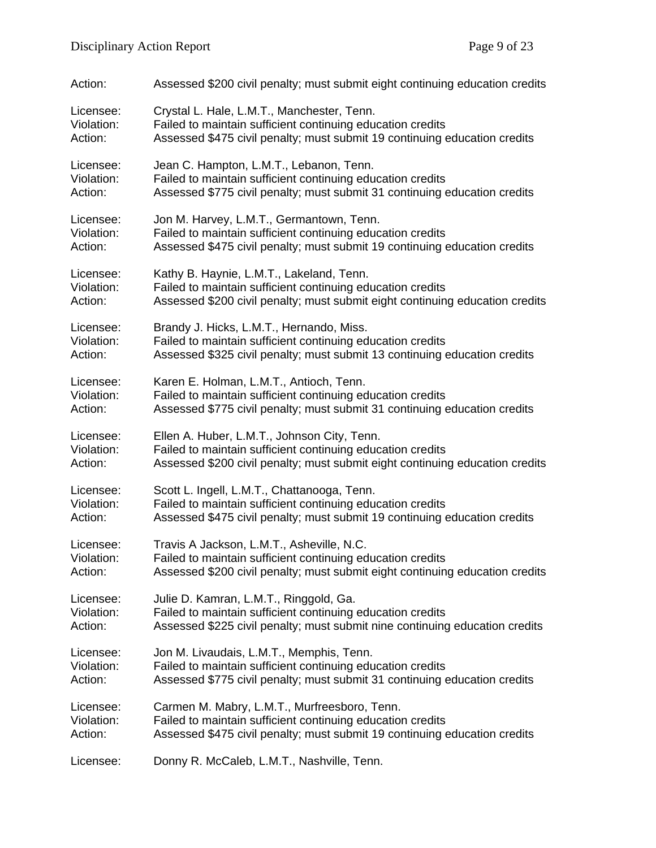| Action:    | Assessed \$200 civil penalty; must submit eight continuing education credits |
|------------|------------------------------------------------------------------------------|
| Licensee:  | Crystal L. Hale, L.M.T., Manchester, Tenn.                                   |
| Violation: | Failed to maintain sufficient continuing education credits                   |
| Action:    | Assessed \$475 civil penalty; must submit 19 continuing education credits    |
| Licensee:  | Jean C. Hampton, L.M.T., Lebanon, Tenn.                                      |
| Violation: | Failed to maintain sufficient continuing education credits                   |
| Action:    | Assessed \$775 civil penalty; must submit 31 continuing education credits    |
| Licensee:  | Jon M. Harvey, L.M.T., Germantown, Tenn.                                     |
| Violation: | Failed to maintain sufficient continuing education credits                   |
| Action:    | Assessed \$475 civil penalty; must submit 19 continuing education credits    |
| Licensee:  | Kathy B. Haynie, L.M.T., Lakeland, Tenn.                                     |
| Violation: | Failed to maintain sufficient continuing education credits                   |
| Action:    | Assessed \$200 civil penalty; must submit eight continuing education credits |
| Licensee:  | Brandy J. Hicks, L.M.T., Hernando, Miss.                                     |
| Violation: | Failed to maintain sufficient continuing education credits                   |
| Action:    | Assessed \$325 civil penalty; must submit 13 continuing education credits    |
| Licensee:  | Karen E. Holman, L.M.T., Antioch, Tenn.                                      |
| Violation: | Failed to maintain sufficient continuing education credits                   |
| Action:    | Assessed \$775 civil penalty; must submit 31 continuing education credits    |
| Licensee:  | Ellen A. Huber, L.M.T., Johnson City, Tenn.                                  |
| Violation: | Failed to maintain sufficient continuing education credits                   |
| Action:    | Assessed \$200 civil penalty; must submit eight continuing education credits |
| Licensee:  | Scott L. Ingell, L.M.T., Chattanooga, Tenn.                                  |
| Violation: | Failed to maintain sufficient continuing education credits                   |
| Action:    | Assessed \$475 civil penalty; must submit 19 continuing education credits    |
| Licensee:  | Travis A Jackson, L.M.T., Asheville, N.C.                                    |
| Violation: | Failed to maintain sufficient continuing education credits                   |
| Action:    | Assessed \$200 civil penalty; must submit eight continuing education credits |
| Licensee:  | Julie D. Kamran, L.M.T., Ringgold, Ga.                                       |
| Violation: | Failed to maintain sufficient continuing education credits                   |
| Action:    | Assessed \$225 civil penalty; must submit nine continuing education credits  |
| Licensee:  | Jon M. Livaudais, L.M.T., Memphis, Tenn.                                     |
| Violation: | Failed to maintain sufficient continuing education credits                   |
| Action:    | Assessed \$775 civil penalty; must submit 31 continuing education credits    |
| Licensee:  | Carmen M. Mabry, L.M.T., Murfreesboro, Tenn.                                 |
| Violation: | Failed to maintain sufficient continuing education credits                   |
| Action:    | Assessed \$475 civil penalty; must submit 19 continuing education credits    |
| Licensee:  | Donny R. McCaleb, L.M.T., Nashville, Tenn.                                   |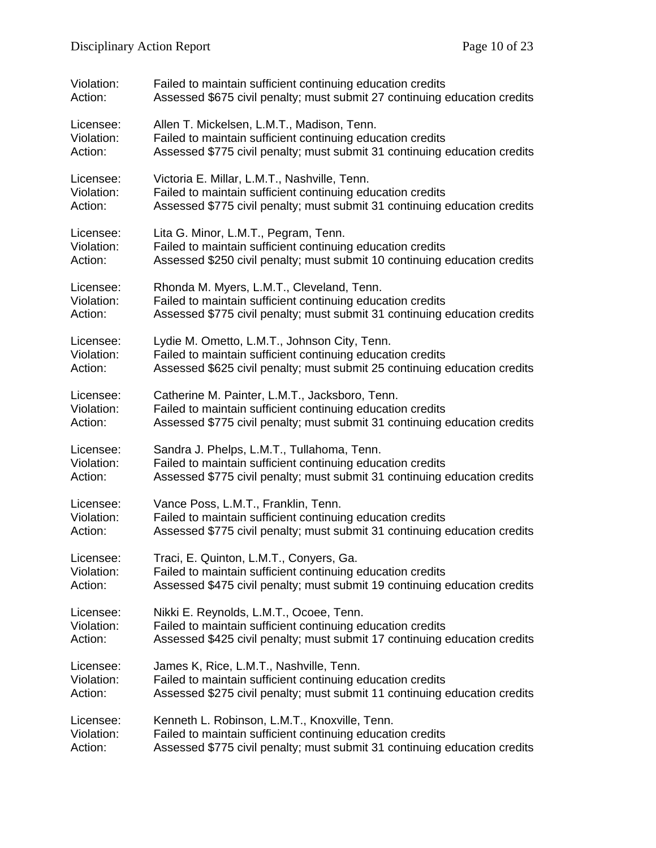| Violation: | Failed to maintain sufficient continuing education credits                |
|------------|---------------------------------------------------------------------------|
| Action:    | Assessed \$675 civil penalty; must submit 27 continuing education credits |
| Licensee:  | Allen T. Mickelsen, L.M.T., Madison, Tenn.                                |
| Violation: | Failed to maintain sufficient continuing education credits                |
| Action:    | Assessed \$775 civil penalty; must submit 31 continuing education credits |
| Licensee:  | Victoria E. Millar, L.M.T., Nashville, Tenn.                              |
| Violation: | Failed to maintain sufficient continuing education credits                |
| Action:    | Assessed \$775 civil penalty; must submit 31 continuing education credits |
| Licensee:  | Lita G. Minor, L.M.T., Pegram, Tenn.                                      |
| Violation: | Failed to maintain sufficient continuing education credits                |
| Action:    | Assessed \$250 civil penalty; must submit 10 continuing education credits |
| Licensee:  | Rhonda M. Myers, L.M.T., Cleveland, Tenn.                                 |
| Violation: | Failed to maintain sufficient continuing education credits                |
| Action:    | Assessed \$775 civil penalty; must submit 31 continuing education credits |
| Licensee:  | Lydie M. Ometto, L.M.T., Johnson City, Tenn.                              |
| Violation: | Failed to maintain sufficient continuing education credits                |
| Action:    | Assessed \$625 civil penalty; must submit 25 continuing education credits |
| Licensee:  | Catherine M. Painter, L.M.T., Jacksboro, Tenn.                            |
| Violation: | Failed to maintain sufficient continuing education credits                |
| Action:    | Assessed \$775 civil penalty; must submit 31 continuing education credits |
| Licensee:  | Sandra J. Phelps, L.M.T., Tullahoma, Tenn.                                |
| Violation: | Failed to maintain sufficient continuing education credits                |
| Action:    | Assessed \$775 civil penalty; must submit 31 continuing education credits |
| Licensee:  | Vance Poss, L.M.T., Franklin, Tenn.                                       |
| Violation: | Failed to maintain sufficient continuing education credits                |
| Action:    | Assessed \$775 civil penalty; must submit 31 continuing education credits |
| Licensee:  | Traci, E. Quinton, L.M.T., Conyers, Ga.                                   |
| Violation: | Failed to maintain sufficient continuing education credits                |
| Action:    | Assessed \$475 civil penalty; must submit 19 continuing education credits |
| Licensee:  | Nikki E. Reynolds, L.M.T., Ocoee, Tenn.                                   |
| Violation: | Failed to maintain sufficient continuing education credits                |
| Action:    | Assessed \$425 civil penalty; must submit 17 continuing education credits |
| Licensee:  | James K, Rice, L.M.T., Nashville, Tenn.                                   |
| Violation: | Failed to maintain sufficient continuing education credits                |
| Action:    | Assessed \$275 civil penalty; must submit 11 continuing education credits |
| Licensee:  | Kenneth L. Robinson, L.M.T., Knoxville, Tenn.                             |
| Violation: | Failed to maintain sufficient continuing education credits                |
| Action:    | Assessed \$775 civil penalty; must submit 31 continuing education credits |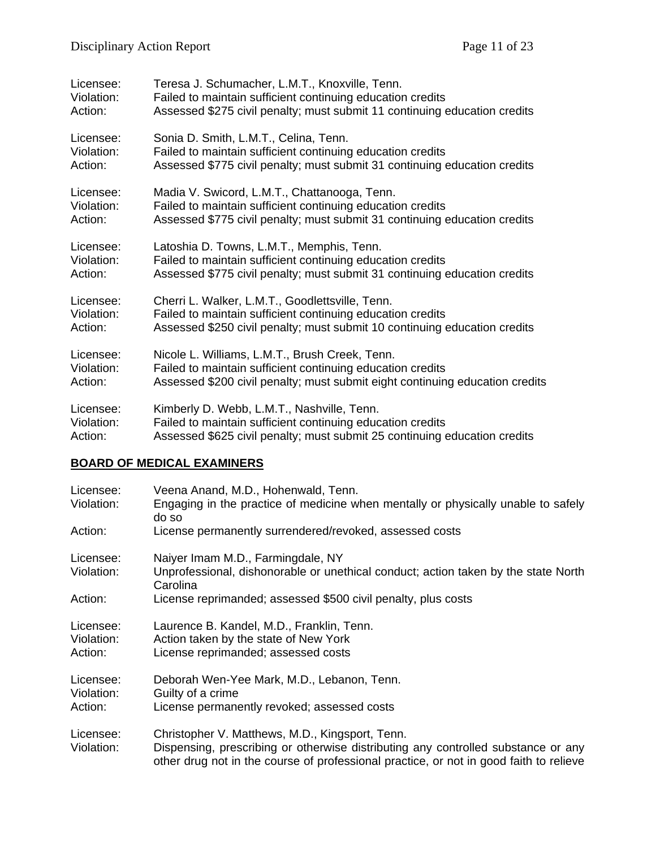| Licensee:  | Teresa J. Schumacher, L.M.T., Knoxville, Tenn.                               |
|------------|------------------------------------------------------------------------------|
| Violation: | Failed to maintain sufficient continuing education credits                   |
| Action:    | Assessed \$275 civil penalty; must submit 11 continuing education credits    |
| Licensee:  | Sonia D. Smith, L.M.T., Celina, Tenn.                                        |
| Violation: | Failed to maintain sufficient continuing education credits                   |
| Action:    | Assessed \$775 civil penalty; must submit 31 continuing education credits    |
| Licensee:  | Madia V. Swicord, L.M.T., Chattanooga, Tenn.                                 |
| Violation: | Failed to maintain sufficient continuing education credits                   |
| Action:    | Assessed \$775 civil penalty; must submit 31 continuing education credits    |
| Licensee:  | Latoshia D. Towns, L.M.T., Memphis, Tenn.                                    |
| Violation: | Failed to maintain sufficient continuing education credits                   |
| Action:    | Assessed \$775 civil penalty; must submit 31 continuing education credits    |
| Licensee:  | Cherri L. Walker, L.M.T., Goodlettsville, Tenn.                              |
| Violation: | Failed to maintain sufficient continuing education credits                   |
| Action:    | Assessed \$250 civil penalty; must submit 10 continuing education credits    |
| Licensee:  | Nicole L. Williams, L.M.T., Brush Creek, Tenn.                               |
| Violation: | Failed to maintain sufficient continuing education credits                   |
| Action:    | Assessed \$200 civil penalty; must submit eight continuing education credits |
| Licensee:  | Kimberly D. Webb, L.M.T., Nashville, Tenn.                                   |
| Violation: | Failed to maintain sufficient continuing education credits                   |
| Action:    | Assessed \$625 civil penalty; must submit 25 continuing education credits    |

# **BOARD OF MEDICAL EXAMINERS**

| Licensee:<br>Violation:            | Veena Anand, M.D., Hohenwald, Tenn.<br>Engaging in the practice of medicine when mentally or physically unable to safely<br>do so                                                                                              |
|------------------------------------|--------------------------------------------------------------------------------------------------------------------------------------------------------------------------------------------------------------------------------|
| Action:                            | License permanently surrendered/revoked, assessed costs                                                                                                                                                                        |
| Licensee:<br>Violation:            | Naiyer Imam M.D., Farmingdale, NY<br>Unprofessional, dishonorable or unethical conduct; action taken by the state North<br>Carolina                                                                                            |
| Action:                            | License reprimanded; assessed \$500 civil penalty, plus costs                                                                                                                                                                  |
| Licensee:<br>Violation:<br>Action: | Laurence B. Kandel, M.D., Franklin, Tenn.<br>Action taken by the state of New York<br>License reprimanded; assessed costs                                                                                                      |
| Licensee:<br>Violation:<br>Action: | Deborah Wen-Yee Mark, M.D., Lebanon, Tenn.<br>Guilty of a crime<br>License permanently revoked; assessed costs                                                                                                                 |
| Licensee:<br>Violation:            | Christopher V. Matthews, M.D., Kingsport, Tenn.<br>Dispensing, prescribing or otherwise distributing any controlled substance or any<br>other drug not in the course of professional practice, or not in good faith to relieve |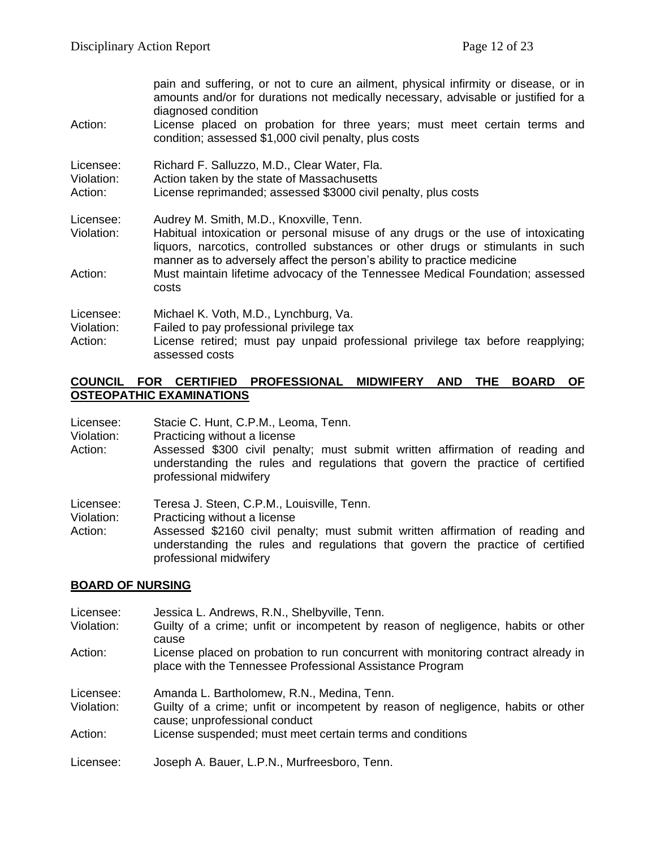|            | pain and suffering, or not to cure an ailment, physical infirmity or disease, or in<br>amounts and/or for durations not medically necessary, advisable or justified for a<br>diagnosed condition                                              |
|------------|-----------------------------------------------------------------------------------------------------------------------------------------------------------------------------------------------------------------------------------------------|
| Action:    | License placed on probation for three years; must meet certain terms and<br>condition; assessed \$1,000 civil penalty, plus costs                                                                                                             |
| Licensee:  | Richard F. Salluzzo, M.D., Clear Water, Fla.                                                                                                                                                                                                  |
| Violation: | Action taken by the state of Massachusetts                                                                                                                                                                                                    |
| Action:    | License reprimanded; assessed \$3000 civil penalty, plus costs                                                                                                                                                                                |
| Licensee:  | Audrey M. Smith, M.D., Knoxville, Tenn.                                                                                                                                                                                                       |
| Violation: | Habitual intoxication or personal misuse of any drugs or the use of intoxicating<br>liquors, narcotics, controlled substances or other drugs or stimulants in such<br>manner as to adversely affect the person's ability to practice medicine |
| Action:    | Must maintain lifetime advocacy of the Tennessee Medical Foundation; assessed<br>costs                                                                                                                                                        |
| Licensee:  | Michael K. Voth, M.D., Lynchburg, Va.                                                                                                                                                                                                         |
| Violation: | Failed to pay professional privilege tax                                                                                                                                                                                                      |
| Action:    | License retired; must pay unpaid professional privilege tax before reapplying;<br>assessed costs                                                                                                                                              |

#### **COUNCIL FOR CERTIFIED PROFESSIONAL MIDWIFERY AND THE BOARD OF OSTEOPATHIC EXAMINATIONS**

| Licensee: | Stacie C. Hunt, C.P.M., Leoma, Tenn. |
|-----------|--------------------------------------|
|-----------|--------------------------------------|

- Violation: Practicing without a license
- Action: Assessed \$300 civil penalty; must submit written affirmation of reading and understanding the rules and regulations that govern the practice of certified professional midwifery

Licensee: Teresa J. Steen, C.P.M., Louisville, Tenn.

Violation: Practicing without a license<br>Action: Assessed \$2160 civil pen

Assessed \$2160 civil penalty; must submit written affirmation of reading and understanding the rules and regulations that govern the practice of certified professional midwifery

#### **BOARD OF NURSING**

| Licensee:  | Jessica L. Andrews, R.N., Shelbyville, Tenn.                                                                                                  |
|------------|-----------------------------------------------------------------------------------------------------------------------------------------------|
| Violation: | Guilty of a crime; unfit or incompetent by reason of negligence, habits or other<br>cause                                                     |
| Action:    | License placed on probation to run concurrent with monitoring contract already in<br>place with the Tennessee Professional Assistance Program |
| Licensee:  | Amanda L. Bartholomew, R.N., Medina, Tenn.                                                                                                    |
| Violation: | Guilty of a crime; unfit or incompetent by reason of negligence, habits or other<br>cause; unprofessional conduct                             |
| Action:    | License suspended; must meet certain terms and conditions                                                                                     |
| Licensee:  | Joseph A. Bauer, L.P.N., Murfreesboro, Tenn.                                                                                                  |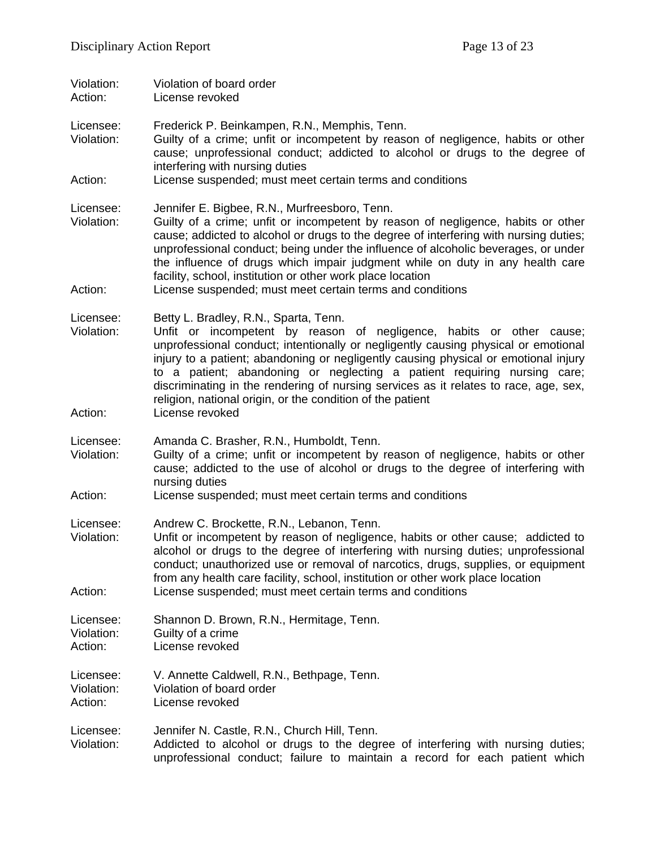| Violation:<br>Action:              | Violation of board order<br>License revoked                                                                                                                                                                                                                                                                                                                                                                                                                                                                                  |
|------------------------------------|------------------------------------------------------------------------------------------------------------------------------------------------------------------------------------------------------------------------------------------------------------------------------------------------------------------------------------------------------------------------------------------------------------------------------------------------------------------------------------------------------------------------------|
| Licensee:<br>Violation:            | Frederick P. Beinkampen, R.N., Memphis, Tenn.<br>Guilty of a crime; unfit or incompetent by reason of negligence, habits or other<br>cause; unprofessional conduct; addicted to alcohol or drugs to the degree of<br>interfering with nursing duties                                                                                                                                                                                                                                                                         |
| Action:                            | License suspended; must meet certain terms and conditions                                                                                                                                                                                                                                                                                                                                                                                                                                                                    |
| Licensee:<br>Violation:            | Jennifer E. Bigbee, R.N., Murfreesboro, Tenn.<br>Guilty of a crime; unfit or incompetent by reason of negligence, habits or other<br>cause; addicted to alcohol or drugs to the degree of interfering with nursing duties;<br>unprofessional conduct; being under the influence of alcoholic beverages, or under<br>the influence of drugs which impair judgment while on duty in any health care<br>facility, school, institution or other work place location                                                              |
| Action:                            | License suspended; must meet certain terms and conditions                                                                                                                                                                                                                                                                                                                                                                                                                                                                    |
| Licensee:<br>Violation:            | Betty L. Bradley, R.N., Sparta, Tenn.<br>Unfit or incompetent by reason of negligence, habits or other cause;<br>unprofessional conduct; intentionally or negligently causing physical or emotional<br>injury to a patient; abandoning or negligently causing physical or emotional injury<br>to a patient; abandoning or neglecting a patient requiring nursing care;<br>discriminating in the rendering of nursing services as it relates to race, age, sex,<br>religion, national origin, or the condition of the patient |
| Action:                            | License revoked                                                                                                                                                                                                                                                                                                                                                                                                                                                                                                              |
| Licensee:<br>Violation:            | Amanda C. Brasher, R.N., Humboldt, Tenn.<br>Guilty of a crime; unfit or incompetent by reason of negligence, habits or other<br>cause; addicted to the use of alcohol or drugs to the degree of interfering with<br>nursing duties                                                                                                                                                                                                                                                                                           |
| Action:                            | License suspended; must meet certain terms and conditions                                                                                                                                                                                                                                                                                                                                                                                                                                                                    |
| Licensee:<br>Violation:<br>Action: | Andrew C. Brockette, R.N., Lebanon, Tenn.<br>Unfit or incompetent by reason of negligence, habits or other cause; addicted to<br>alcohol or drugs to the degree of interfering with nursing duties; unprofessional<br>conduct; unauthorized use or removal of narcotics, drugs, supplies, or equipment<br>from any health care facility, school, institution or other work place location<br>License suspended; must meet certain terms and conditions                                                                       |
| Licensee:<br>Violation:<br>Action: | Shannon D. Brown, R.N., Hermitage, Tenn.<br>Guilty of a crime<br>License revoked                                                                                                                                                                                                                                                                                                                                                                                                                                             |
| Licensee:<br>Violation:<br>Action: | V. Annette Caldwell, R.N., Bethpage, Tenn.<br>Violation of board order<br>License revoked                                                                                                                                                                                                                                                                                                                                                                                                                                    |
| Licensee:<br>Violation:            | Jennifer N. Castle, R.N., Church Hill, Tenn.<br>Addicted to alcohol or drugs to the degree of interfering with nursing duties;<br>unprofessional conduct; failure to maintain a record for each patient which                                                                                                                                                                                                                                                                                                                |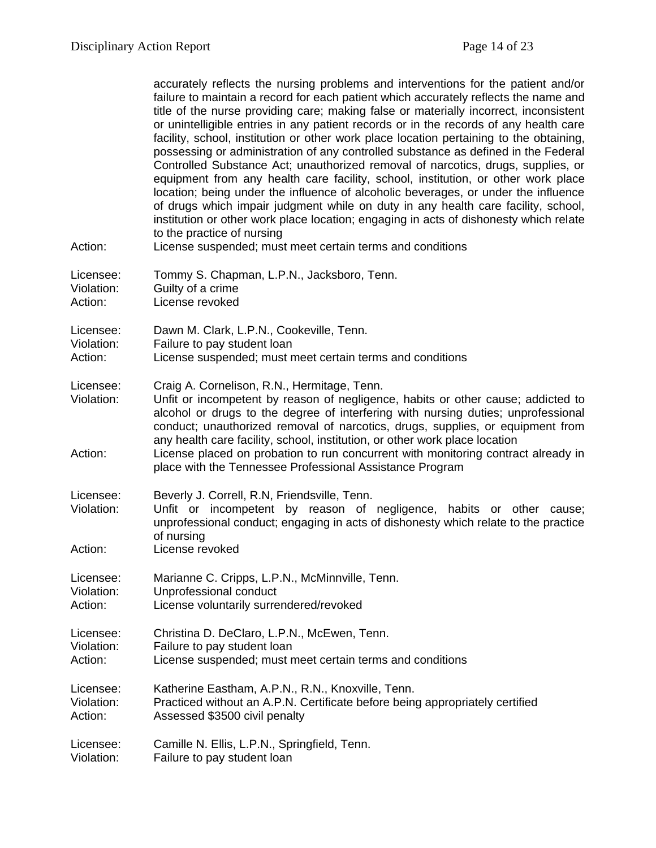| Action:                 | accurately reflects the nursing problems and interventions for the patient and/or<br>failure to maintain a record for each patient which accurately reflects the name and<br>title of the nurse providing care; making false or materially incorrect, inconsistent<br>or unintelligible entries in any patient records or in the records of any health care<br>facility, school, institution or other work place location pertaining to the obtaining,<br>possessing or administration of any controlled substance as defined in the Federal<br>Controlled Substance Act; unauthorized removal of narcotics, drugs, supplies, or<br>equipment from any health care facility, school, institution, or other work place<br>location; being under the influence of alcoholic beverages, or under the influence<br>of drugs which impair judgment while on duty in any health care facility, school,<br>institution or other work place location; engaging in acts of dishonesty which relate<br>to the practice of nursing<br>License suspended; must meet certain terms and conditions |
|-------------------------|--------------------------------------------------------------------------------------------------------------------------------------------------------------------------------------------------------------------------------------------------------------------------------------------------------------------------------------------------------------------------------------------------------------------------------------------------------------------------------------------------------------------------------------------------------------------------------------------------------------------------------------------------------------------------------------------------------------------------------------------------------------------------------------------------------------------------------------------------------------------------------------------------------------------------------------------------------------------------------------------------------------------------------------------------------------------------------------|
|                         |                                                                                                                                                                                                                                                                                                                                                                                                                                                                                                                                                                                                                                                                                                                                                                                                                                                                                                                                                                                                                                                                                      |
| Licensee:<br>Violation: | Tommy S. Chapman, L.P.N., Jacksboro, Tenn.<br>Guilty of a crime                                                                                                                                                                                                                                                                                                                                                                                                                                                                                                                                                                                                                                                                                                                                                                                                                                                                                                                                                                                                                      |
| Action:                 | License revoked                                                                                                                                                                                                                                                                                                                                                                                                                                                                                                                                                                                                                                                                                                                                                                                                                                                                                                                                                                                                                                                                      |
| Licensee:               | Dawn M. Clark, L.P.N., Cookeville, Tenn.                                                                                                                                                                                                                                                                                                                                                                                                                                                                                                                                                                                                                                                                                                                                                                                                                                                                                                                                                                                                                                             |
| Violation:              | Failure to pay student loan                                                                                                                                                                                                                                                                                                                                                                                                                                                                                                                                                                                                                                                                                                                                                                                                                                                                                                                                                                                                                                                          |
| Action:                 | License suspended; must meet certain terms and conditions                                                                                                                                                                                                                                                                                                                                                                                                                                                                                                                                                                                                                                                                                                                                                                                                                                                                                                                                                                                                                            |
| Licensee:<br>Violation: | Craig A. Cornelison, R.N., Hermitage, Tenn.<br>Unfit or incompetent by reason of negligence, habits or other cause; addicted to<br>alcohol or drugs to the degree of interfering with nursing duties; unprofessional<br>conduct; unauthorized removal of narcotics, drugs, supplies, or equipment from                                                                                                                                                                                                                                                                                                                                                                                                                                                                                                                                                                                                                                                                                                                                                                               |
| Action:                 | any health care facility, school, institution, or other work place location<br>License placed on probation to run concurrent with monitoring contract already in<br>place with the Tennessee Professional Assistance Program                                                                                                                                                                                                                                                                                                                                                                                                                                                                                                                                                                                                                                                                                                                                                                                                                                                         |
| Licensee:               | Beverly J. Correll, R.N, Friendsville, Tenn.                                                                                                                                                                                                                                                                                                                                                                                                                                                                                                                                                                                                                                                                                                                                                                                                                                                                                                                                                                                                                                         |
| Violation:              | Unfit or incompetent by reason of negligence, habits or other cause;<br>unprofessional conduct; engaging in acts of dishonesty which relate to the practice<br>of nursing                                                                                                                                                                                                                                                                                                                                                                                                                                                                                                                                                                                                                                                                                                                                                                                                                                                                                                            |
| Action:                 | License revoked                                                                                                                                                                                                                                                                                                                                                                                                                                                                                                                                                                                                                                                                                                                                                                                                                                                                                                                                                                                                                                                                      |
| Licensee:               | Marianne C. Cripps, L.P.N., McMinnville, Tenn.                                                                                                                                                                                                                                                                                                                                                                                                                                                                                                                                                                                                                                                                                                                                                                                                                                                                                                                                                                                                                                       |
| Violation:              | Unprofessional conduct                                                                                                                                                                                                                                                                                                                                                                                                                                                                                                                                                                                                                                                                                                                                                                                                                                                                                                                                                                                                                                                               |
| Action:                 | License voluntarily surrendered/revoked                                                                                                                                                                                                                                                                                                                                                                                                                                                                                                                                                                                                                                                                                                                                                                                                                                                                                                                                                                                                                                              |
| Licensee:               | Christina D. DeClaro, L.P.N., McEwen, Tenn.                                                                                                                                                                                                                                                                                                                                                                                                                                                                                                                                                                                                                                                                                                                                                                                                                                                                                                                                                                                                                                          |
| Violation:<br>Action:   | Failure to pay student loan<br>License suspended; must meet certain terms and conditions                                                                                                                                                                                                                                                                                                                                                                                                                                                                                                                                                                                                                                                                                                                                                                                                                                                                                                                                                                                             |
|                         |                                                                                                                                                                                                                                                                                                                                                                                                                                                                                                                                                                                                                                                                                                                                                                                                                                                                                                                                                                                                                                                                                      |
| Licensee:<br>Violation: | Katherine Eastham, A.P.N., R.N., Knoxville, Tenn.<br>Practiced without an A.P.N. Certificate before being appropriately certified                                                                                                                                                                                                                                                                                                                                                                                                                                                                                                                                                                                                                                                                                                                                                                                                                                                                                                                                                    |
| Action:                 | Assessed \$3500 civil penalty                                                                                                                                                                                                                                                                                                                                                                                                                                                                                                                                                                                                                                                                                                                                                                                                                                                                                                                                                                                                                                                        |
| Licensee:               | Camille N. Ellis, L.P.N., Springfield, Tenn.                                                                                                                                                                                                                                                                                                                                                                                                                                                                                                                                                                                                                                                                                                                                                                                                                                                                                                                                                                                                                                         |
| Violation:              | Failure to pay student loan                                                                                                                                                                                                                                                                                                                                                                                                                                                                                                                                                                                                                                                                                                                                                                                                                                                                                                                                                                                                                                                          |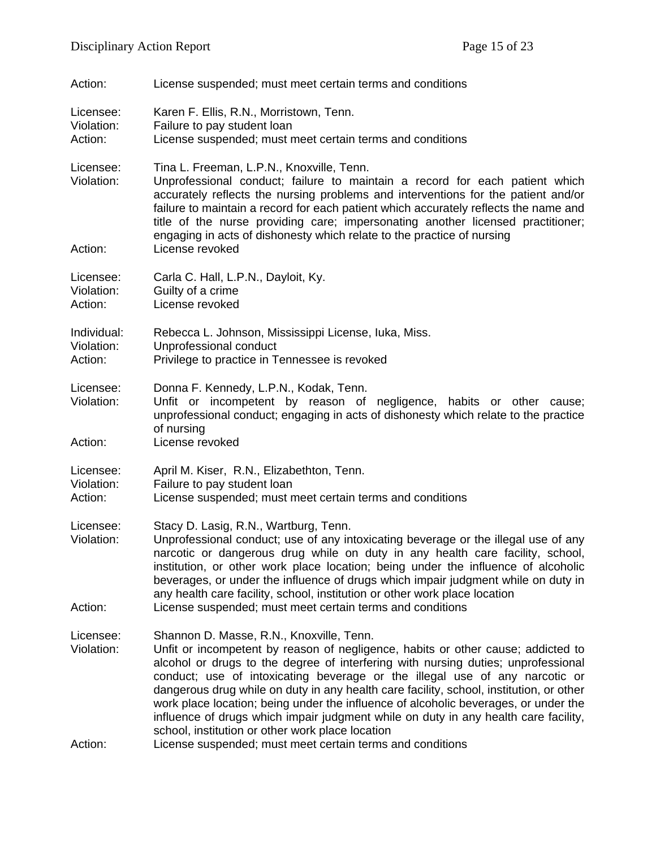| Action:                              | License suspended; must meet certain terms and conditions                                                                                                                                                                                                                                                                                                                                                                                                                                                                                                                                                                                                                                  |
|--------------------------------------|--------------------------------------------------------------------------------------------------------------------------------------------------------------------------------------------------------------------------------------------------------------------------------------------------------------------------------------------------------------------------------------------------------------------------------------------------------------------------------------------------------------------------------------------------------------------------------------------------------------------------------------------------------------------------------------------|
| Licensee:<br>Violation:<br>Action:   | Karen F. Ellis, R.N., Morristown, Tenn.<br>Failure to pay student loan<br>License suspended; must meet certain terms and conditions                                                                                                                                                                                                                                                                                                                                                                                                                                                                                                                                                        |
| Licensee:<br>Violation:              | Tina L. Freeman, L.P.N., Knoxville, Tenn.<br>Unprofessional conduct; failure to maintain a record for each patient which<br>accurately reflects the nursing problems and interventions for the patient and/or<br>failure to maintain a record for each patient which accurately reflects the name and<br>title of the nurse providing care; impersonating another licensed practitioner;<br>engaging in acts of dishonesty which relate to the practice of nursing                                                                                                                                                                                                                         |
| Action:                              | License revoked                                                                                                                                                                                                                                                                                                                                                                                                                                                                                                                                                                                                                                                                            |
| Licensee:<br>Violation:<br>Action:   | Carla C. Hall, L.P.N., Dayloit, Ky.<br>Guilty of a crime<br>License revoked                                                                                                                                                                                                                                                                                                                                                                                                                                                                                                                                                                                                                |
| Individual:<br>Violation:<br>Action: | Rebecca L. Johnson, Mississippi License, Iuka, Miss.<br>Unprofessional conduct<br>Privilege to practice in Tennessee is revoked                                                                                                                                                                                                                                                                                                                                                                                                                                                                                                                                                            |
| Licensee:<br>Violation:<br>Action:   | Donna F. Kennedy, L.P.N., Kodak, Tenn.<br>Unfit or incompetent by reason of negligence, habits or other cause;<br>unprofessional conduct; engaging in acts of dishonesty which relate to the practice<br>of nursing<br>License revoked                                                                                                                                                                                                                                                                                                                                                                                                                                                     |
| Licensee:<br>Violation:<br>Action:   | April M. Kiser, R.N., Elizabethton, Tenn.<br>Failure to pay student loan<br>License suspended; must meet certain terms and conditions                                                                                                                                                                                                                                                                                                                                                                                                                                                                                                                                                      |
| Licensee:<br>Violation:<br>Action:   | Stacy D. Lasig, R.N., Wartburg, Tenn.<br>Unprofessional conduct; use of any intoxicating beverage or the illegal use of any<br>narcotic or dangerous drug while on duty in any health care facility, school,<br>institution, or other work place location; being under the influence of alcoholic<br>beverages, or under the influence of drugs which impair judgment while on duty in<br>any health care facility, school, institution or other work place location<br>License suspended; must meet certain terms and conditions                                                                                                                                                          |
|                                      |                                                                                                                                                                                                                                                                                                                                                                                                                                                                                                                                                                                                                                                                                            |
| Licensee:<br>Violation:<br>Action:   | Shannon D. Masse, R.N., Knoxville, Tenn.<br>Unfit or incompetent by reason of negligence, habits or other cause; addicted to<br>alcohol or drugs to the degree of interfering with nursing duties; unprofessional<br>conduct; use of intoxicating beverage or the illegal use of any narcotic or<br>dangerous drug while on duty in any health care facility, school, institution, or other<br>work place location; being under the influence of alcoholic beverages, or under the<br>influence of drugs which impair judgment while on duty in any health care facility,<br>school, institution or other work place location<br>License suspended; must meet certain terms and conditions |
|                                      |                                                                                                                                                                                                                                                                                                                                                                                                                                                                                                                                                                                                                                                                                            |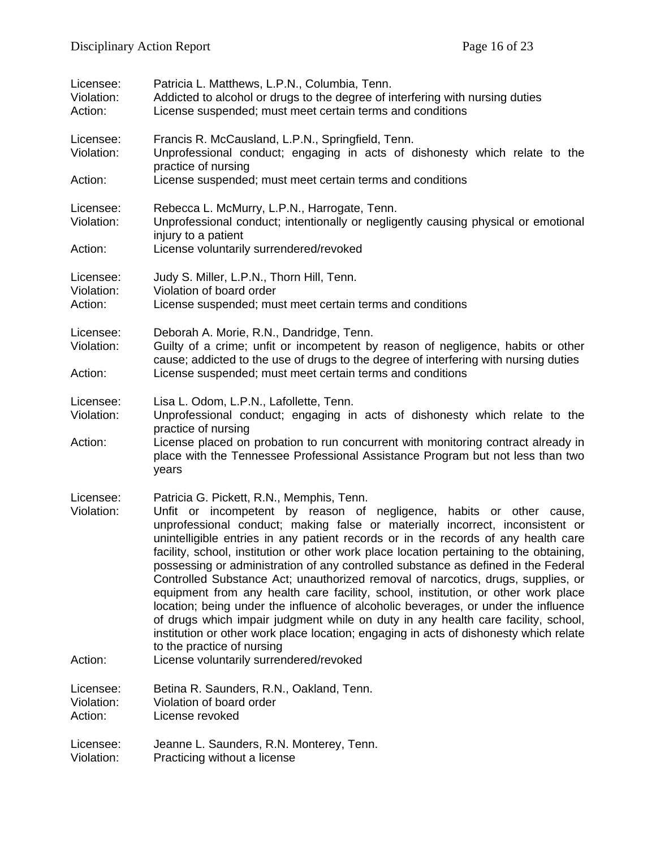| Licensee:<br>Violation:<br>Action: | Patricia L. Matthews, L.P.N., Columbia, Tenn.<br>Addicted to alcohol or drugs to the degree of interfering with nursing duties<br>License suspended; must meet certain terms and conditions                                                                                                                                                                                                                                                                                                                                                                                                                                                                                                                                                                                                                                                                                                                                                          |
|------------------------------------|------------------------------------------------------------------------------------------------------------------------------------------------------------------------------------------------------------------------------------------------------------------------------------------------------------------------------------------------------------------------------------------------------------------------------------------------------------------------------------------------------------------------------------------------------------------------------------------------------------------------------------------------------------------------------------------------------------------------------------------------------------------------------------------------------------------------------------------------------------------------------------------------------------------------------------------------------|
| Licensee:<br>Violation:            | Francis R. McCausland, L.P.N., Springfield, Tenn.<br>Unprofessional conduct; engaging in acts of dishonesty which relate to the<br>practice of nursing                                                                                                                                                                                                                                                                                                                                                                                                                                                                                                                                                                                                                                                                                                                                                                                               |
| Action:                            | License suspended; must meet certain terms and conditions                                                                                                                                                                                                                                                                                                                                                                                                                                                                                                                                                                                                                                                                                                                                                                                                                                                                                            |
| Licensee:<br>Violation:<br>Action: | Rebecca L. McMurry, L.P.N., Harrogate, Tenn.<br>Unprofessional conduct; intentionally or negligently causing physical or emotional<br>injury to a patient<br>License voluntarily surrendered/revoked                                                                                                                                                                                                                                                                                                                                                                                                                                                                                                                                                                                                                                                                                                                                                 |
| Licensee:                          | Judy S. Miller, L.P.N., Thorn Hill, Tenn.                                                                                                                                                                                                                                                                                                                                                                                                                                                                                                                                                                                                                                                                                                                                                                                                                                                                                                            |
| Violation:<br>Action:              | Violation of board order<br>License suspended; must meet certain terms and conditions                                                                                                                                                                                                                                                                                                                                                                                                                                                                                                                                                                                                                                                                                                                                                                                                                                                                |
| Licensee:<br>Violation:            | Deborah A. Morie, R.N., Dandridge, Tenn.<br>Guilty of a crime; unfit or incompetent by reason of negligence, habits or other<br>cause; addicted to the use of drugs to the degree of interfering with nursing duties                                                                                                                                                                                                                                                                                                                                                                                                                                                                                                                                                                                                                                                                                                                                 |
| Action:                            | License suspended; must meet certain terms and conditions                                                                                                                                                                                                                                                                                                                                                                                                                                                                                                                                                                                                                                                                                                                                                                                                                                                                                            |
| Licensee:<br>Violation:            | Lisa L. Odom, L.P.N., Lafollette, Tenn.<br>Unprofessional conduct; engaging in acts of dishonesty which relate to the<br>practice of nursing                                                                                                                                                                                                                                                                                                                                                                                                                                                                                                                                                                                                                                                                                                                                                                                                         |
| Action:                            | License placed on probation to run concurrent with monitoring contract already in<br>place with the Tennessee Professional Assistance Program but not less than two<br>years                                                                                                                                                                                                                                                                                                                                                                                                                                                                                                                                                                                                                                                                                                                                                                         |
| Licensee:<br>Violation:            | Patricia G. Pickett, R.N., Memphis, Tenn.<br>Unfit or incompetent by reason of negligence, habits or other cause,<br>unprofessional conduct; making false or materially incorrect, inconsistent or<br>unintelligible entries in any patient records or in the records of any health care<br>facility, school, institution or other work place location pertaining to the obtaining,<br>possessing or administration of any controlled substance as defined in the Federal<br>Controlled Substance Act; unauthorized removal of narcotics, drugs, supplies, or<br>equipment from any health care facility, school, institution, or other work place<br>location; being under the influence of alcoholic beverages, or under the influence<br>of drugs which impair judgment while on duty in any health care facility, school,<br>institution or other work place location; engaging in acts of dishonesty which relate<br>to the practice of nursing |
| Action:                            | License voluntarily surrendered/revoked                                                                                                                                                                                                                                                                                                                                                                                                                                                                                                                                                                                                                                                                                                                                                                                                                                                                                                              |
| Licensee:<br>Violation:<br>Action: | Betina R. Saunders, R.N., Oakland, Tenn.<br>Violation of board order<br>License revoked                                                                                                                                                                                                                                                                                                                                                                                                                                                                                                                                                                                                                                                                                                                                                                                                                                                              |
| Licensee:<br>Violation:            | Jeanne L. Saunders, R.N. Monterey, Tenn.<br>Practicing without a license                                                                                                                                                                                                                                                                                                                                                                                                                                                                                                                                                                                                                                                                                                                                                                                                                                                                             |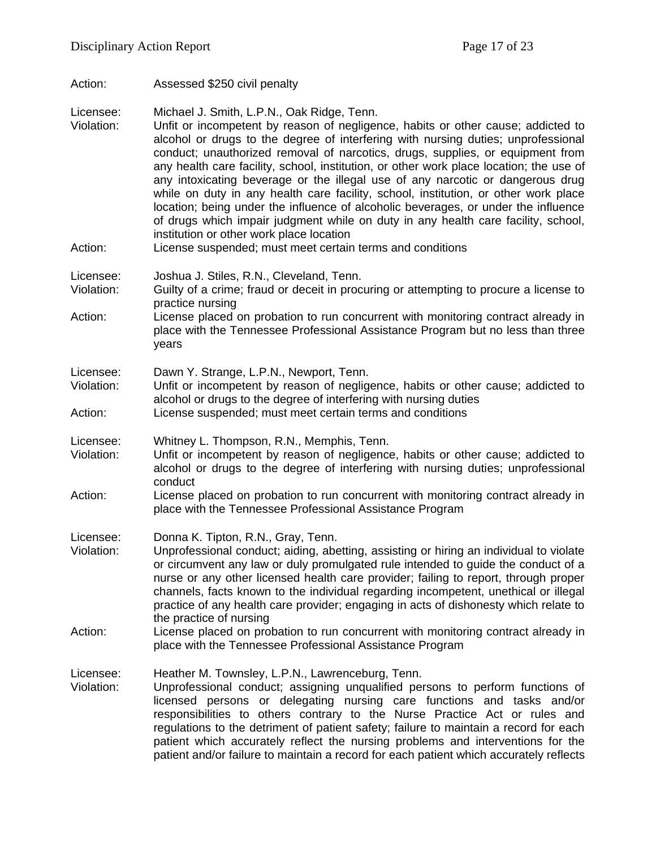Action: Assessed \$250 civil penalty

Licensee: Michael J. Smith, L.P.N., Oak Ridge, Tenn.

- Violation: Unfit or incompetent by reason of negligence, habits or other cause; addicted to alcohol or drugs to the degree of interfering with nursing duties; unprofessional conduct; unauthorized removal of narcotics, drugs, supplies, or equipment from any health care facility, school, institution, or other work place location; the use of any intoxicating beverage or the illegal use of any narcotic or dangerous drug while on duty in any health care facility, school, institution, or other work place location; being under the influence of alcoholic beverages, or under the influence of drugs which impair judgment while on duty in any health care facility, school, institution or other work place location
- Action: License suspended; must meet certain terms and conditions

Licensee: Joshua J. Stiles, R.N., Cleveland, Tenn.

- Violation: Guilty of a crime; fraud or deceit in procuring or attempting to procure a license to practice nursing
- Action: License placed on probation to run concurrent with monitoring contract already in place with the Tennessee Professional Assistance Program but no less than three years

Licensee: Dawn Y. Strange, L.P.N., Newport, Tenn.

Violation: Unfit or incompetent by reason of negligence, habits or other cause; addicted to alcohol or drugs to the degree of interfering with nursing duties

Action: License suspended; must meet certain terms and conditions

Licensee: Whitney L. Thompson, R.N., Memphis, Tenn.

- Violation: Unfit or incompetent by reason of negligence, habits or other cause; addicted to alcohol or drugs to the degree of interfering with nursing duties; unprofessional conduct
- Action: License placed on probation to run concurrent with monitoring contract already in place with the Tennessee Professional Assistance Program

Licensee: Donna K. Tipton, R.N., Gray, Tenn.

- Violation: Unprofessional conduct; aiding, abetting, assisting or hiring an individual to violate or circumvent any law or duly promulgated rule intended to guide the conduct of a nurse or any other licensed health care provider; failing to report, through proper channels, facts known to the individual regarding incompetent, unethical or illegal practice of any health care provider; engaging in acts of dishonesty which relate to the practice of nursing
- Action: License placed on probation to run concurrent with monitoring contract already in place with the Tennessee Professional Assistance Program

Licensee: Heather M. Townsley, L.P.N., Lawrenceburg, Tenn.

Violation: Unprofessional conduct; assigning unqualified persons to perform functions of licensed persons or delegating nursing care functions and tasks and/or responsibilities to others contrary to the Nurse Practice Act or rules and regulations to the detriment of patient safety; failure to maintain a record for each patient which accurately reflect the nursing problems and interventions for the patient and/or failure to maintain a record for each patient which accurately reflects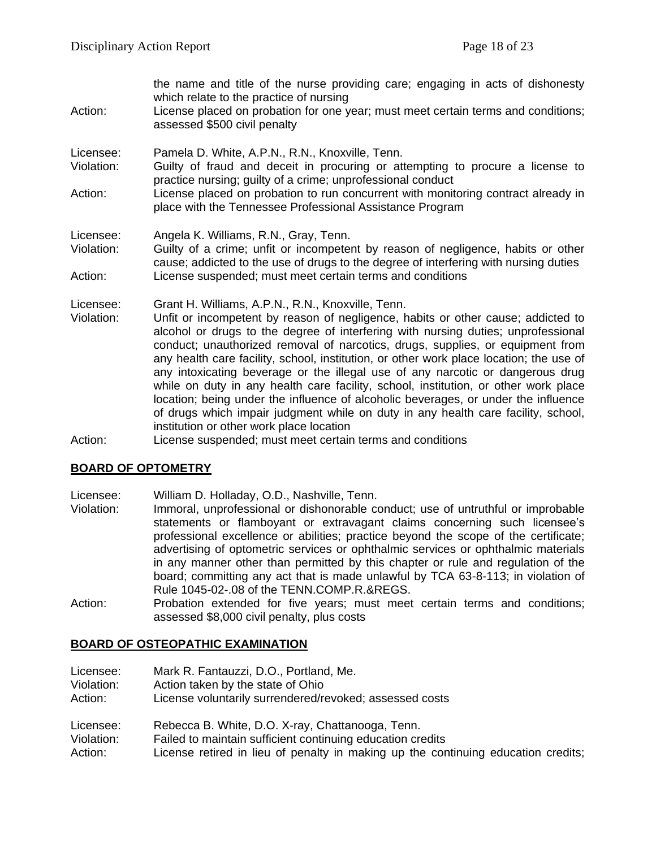the name and title of the nurse providing care; engaging in acts of dishonesty which relate to the practice of nursing Action: License placed on probation for one year; must meet certain terms and conditions; assessed \$500 civil penalty Licensee: Pamela D. White, A.P.N., R.N., Knoxville, Tenn. Violation: Guilty of fraud and deceit in procuring or attempting to procure a license to practice nursing; guilty of a crime; unprofessional conduct Action: License placed on probation to run concurrent with monitoring contract already in place with the Tennessee Professional Assistance Program Licensee: Angela K. Williams, R.N., Gray, Tenn. Violation: Guilty of a crime; unfit or incompetent by reason of negligence, habits or other cause; addicted to the use of drugs to the degree of interfering with nursing duties Action: License suspended; must meet certain terms and conditions Licensee: Grant H. Williams, A.P.N., R.N., Knoxville, Tenn. Violation: Unfit or incompetent by reason of negligence, habits or other cause; addicted to alcohol or drugs to the degree of interfering with nursing duties; unprofessional conduct; unauthorized removal of narcotics, drugs, supplies, or equipment from any health care facility, school, institution, or other work place location; the use of any intoxicating beverage or the illegal use of any narcotic or dangerous drug while on duty in any health care facility, school, institution, or other work place location; being under the influence of alcoholic beverages, or under the influence of drugs which impair judgment while on duty in any health care facility, school, institution or other work place location

Action: License suspended; must meet certain terms and conditions

## **BOARD OF OPTOMETRY**

Licensee: William D. Holladay, O.D., Nashville, Tenn.

- Violation: Immoral, unprofessional or dishonorable conduct; use of untruthful or improbable statements or flamboyant or extravagant claims concerning such licensee's professional excellence or abilities; practice beyond the scope of the certificate; advertising of optometric services or ophthalmic services or ophthalmic materials in any manner other than permitted by this chapter or rule and regulation of the board; committing any act that is made unlawful by TCA 63-8-113; in violation of Rule 1045-02-.08 of the TENN.COMP.R.&REGS.
- Action: Probation extended for five years; must meet certain terms and conditions; assessed \$8,000 civil penalty, plus costs

#### **BOARD OF OSTEOPATHIC EXAMINATION**

| Licensee:  | Mark R. Fantauzzi, D.O., Portland, Me.                                            |
|------------|-----------------------------------------------------------------------------------|
| Violation: | Action taken by the state of Ohio                                                 |
| Action:    | License voluntarily surrendered/revoked; assessed costs                           |
| Licensee:  | Rebecca B. White, D.O. X-ray, Chattanooga, Tenn.                                  |
| Violation: | Failed to maintain sufficient continuing education credits                        |
| Action:    | License retired in lieu of penalty in making up the continuing education credits; |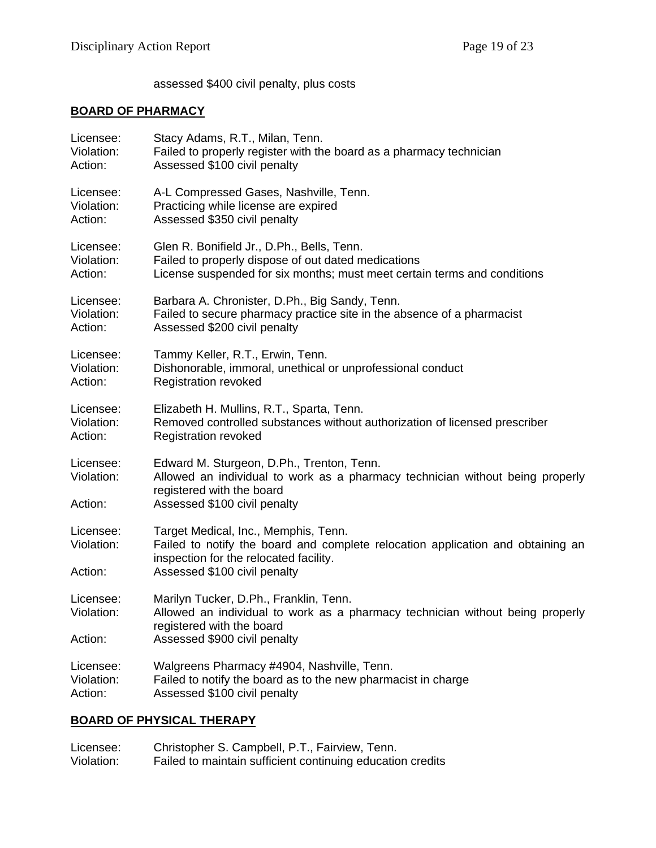assessed \$400 civil penalty, plus costs

# **BOARD OF PHARMACY**

| Licensee:                          | Stacy Adams, R.T., Milan, Tenn.                                                                                                                                                                   |
|------------------------------------|---------------------------------------------------------------------------------------------------------------------------------------------------------------------------------------------------|
| Violation:                         | Failed to properly register with the board as a pharmacy technician                                                                                                                               |
| Action:                            | Assessed \$100 civil penalty                                                                                                                                                                      |
| Licensee:                          | A-L Compressed Gases, Nashville, Tenn.                                                                                                                                                            |
| Violation:                         | Practicing while license are expired                                                                                                                                                              |
| Action:                            | Assessed \$350 civil penalty                                                                                                                                                                      |
| Licensee:                          | Glen R. Bonifield Jr., D.Ph., Bells, Tenn.                                                                                                                                                        |
| Violation:                         | Failed to properly dispose of out dated medications                                                                                                                                               |
| Action:                            | License suspended for six months; must meet certain terms and conditions                                                                                                                          |
| Licensee:                          | Barbara A. Chronister, D.Ph., Big Sandy, Tenn.                                                                                                                                                    |
| Violation:                         | Failed to secure pharmacy practice site in the absence of a pharmacist                                                                                                                            |
| Action:                            | Assessed \$200 civil penalty                                                                                                                                                                      |
| Licensee:                          | Tammy Keller, R.T., Erwin, Tenn.                                                                                                                                                                  |
| Violation:                         | Dishonorable, immoral, unethical or unprofessional conduct                                                                                                                                        |
| Action:                            | <b>Registration revoked</b>                                                                                                                                                                       |
| Licensee:                          | Elizabeth H. Mullins, R.T., Sparta, Tenn.                                                                                                                                                         |
| Violation:                         | Removed controlled substances without authorization of licensed prescriber                                                                                                                        |
| Action:                            | <b>Registration revoked</b>                                                                                                                                                                       |
| Licensee:<br>Violation:<br>Action: | Edward M. Sturgeon, D.Ph., Trenton, Tenn.<br>Allowed an individual to work as a pharmacy technician without being properly<br>registered with the board<br>Assessed \$100 civil penalty           |
| Licensee:<br>Violation:<br>Action: | Target Medical, Inc., Memphis, Tenn.<br>Failed to notify the board and complete relocation application and obtaining an<br>inspection for the relocated facility.<br>Assessed \$100 civil penalty |
| Licensee:<br>Violation:            | Marilyn Tucker, D.Ph., Franklin, Tenn.<br>Allowed an individual to work as a pharmacy technician without being properly<br>registered with the board                                              |
| Action:                            | Assessed \$900 civil penalty                                                                                                                                                                      |
| Licensee:                          | Walgreens Pharmacy #4904, Nashville, Tenn.                                                                                                                                                        |
| Violation:                         | Failed to notify the board as to the new pharmacist in charge                                                                                                                                     |
| Action:                            | Assessed \$100 civil penalty                                                                                                                                                                      |

# **BOARD OF PHYSICAL THERAPY**

| Licensee:  | Christopher S. Campbell, P.T., Fairview, Tenn.             |
|------------|------------------------------------------------------------|
| Violation: | Failed to maintain sufficient continuing education credits |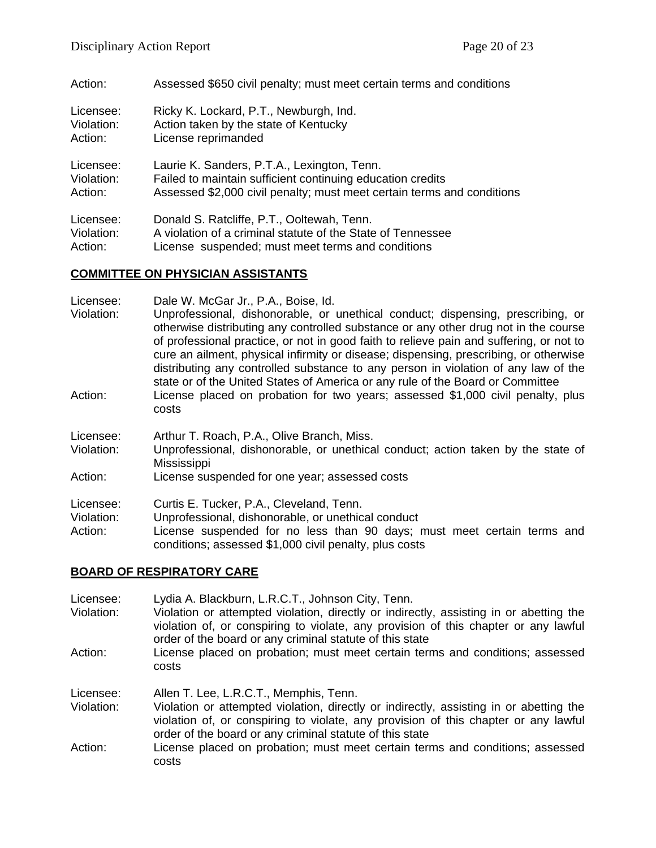Action: Assessed \$650 civil penalty; must meet certain terms and conditions

| Licensee:  | Ricky K. Lockard, P.T., Newburgh, Ind.                                 |
|------------|------------------------------------------------------------------------|
| Violation: | Action taken by the state of Kentucky                                  |
| Action:    | License reprimanded                                                    |
| Licensee:  | Laurie K. Sanders, P.T.A., Lexington, Tenn.                            |
| Violation: | Failed to maintain sufficient continuing education credits             |
| Action:    | Assessed \$2,000 civil penalty; must meet certain terms and conditions |
| Licensee:  | Donald S. Ratcliffe, P.T., Ooltewah, Tenn.                             |
| Violation: | A violation of a criminal statute of the State of Tennessee            |
| Action:    | License suspended; must meet terms and conditions                      |

# **COMMITTEE ON PHYSICIAN ASSISTANTS**

| Licensee:<br>Violation:            | Dale W. McGar Jr., P.A., Boise, Id.<br>Unprofessional, dishonorable, or unethical conduct; dispensing, prescribing, or<br>otherwise distributing any controlled substance or any other drug not in the course<br>of professional practice, or not in good faith to relieve pain and suffering, or not to<br>cure an ailment, physical infirmity or disease; dispensing, prescribing, or otherwise<br>distributing any controlled substance to any person in violation of any law of the<br>state or of the United States of America or any rule of the Board or Committee |
|------------------------------------|---------------------------------------------------------------------------------------------------------------------------------------------------------------------------------------------------------------------------------------------------------------------------------------------------------------------------------------------------------------------------------------------------------------------------------------------------------------------------------------------------------------------------------------------------------------------------|
| Action:                            | License placed on probation for two years; assessed \$1,000 civil penalty, plus<br>costs                                                                                                                                                                                                                                                                                                                                                                                                                                                                                  |
| Licensee:<br>Violation:            | Arthur T. Roach, P.A., Olive Branch, Miss.<br>Unprofessional, dishonorable, or unethical conduct; action taken by the state of<br>Mississippi                                                                                                                                                                                                                                                                                                                                                                                                                             |
| Action:                            | License suspended for one year; assessed costs                                                                                                                                                                                                                                                                                                                                                                                                                                                                                                                            |
| Licensee:<br>Violation:<br>Action: | Curtis E. Tucker, P.A., Cleveland, Tenn.<br>Unprofessional, dishonorable, or unethical conduct<br>License suspended for no less than 90 days; must meet certain terms and<br>conditions; assessed \$1,000 civil penalty, plus costs                                                                                                                                                                                                                                                                                                                                       |

## **BOARD OF RESPIRATORY CARE**

| Licensee:<br>Violation:<br>Action: | Lydia A. Blackburn, L.R.C.T., Johnson City, Tenn.<br>Violation or attempted violation, directly or indirectly, assisting in or abetting the<br>violation of, or conspiring to violate, any provision of this chapter or any lawful<br>order of the board or any criminal statute of this state<br>License placed on probation; must meet certain terms and conditions; assessed |
|------------------------------------|---------------------------------------------------------------------------------------------------------------------------------------------------------------------------------------------------------------------------------------------------------------------------------------------------------------------------------------------------------------------------------|
|                                    | costs                                                                                                                                                                                                                                                                                                                                                                           |
| Licensee:                          | Allen T. Lee, L.R.C.T., Memphis, Tenn.                                                                                                                                                                                                                                                                                                                                          |
| Violation:                         | Violation or attempted violation, directly or indirectly, assisting in or abetting the<br>violation of, or conspiring to violate, any provision of this chapter or any lawful<br>order of the board or any criminal statute of this state                                                                                                                                       |
| Action:                            | License placed on probation; must meet certain terms and conditions; assessed<br>costs                                                                                                                                                                                                                                                                                          |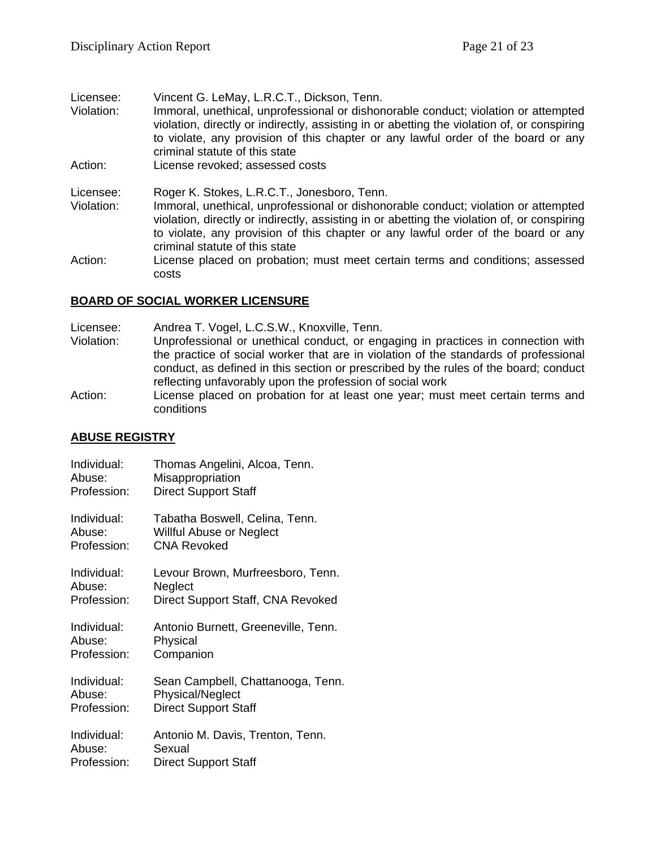| Licensee:  | Vincent G. LeMay, L.R.C.T., Dickson, Tenn.                                                                                                                                                                                                                                                               |
|------------|----------------------------------------------------------------------------------------------------------------------------------------------------------------------------------------------------------------------------------------------------------------------------------------------------------|
| Violation: | Immoral, unethical, unprofessional or dishonorable conduct; violation or attempted<br>violation, directly or indirectly, assisting in or abetting the violation of, or conspiring<br>to violate, any provision of this chapter or any lawful order of the board or any<br>criminal statute of this state |
| Action:    | License revoked; assessed costs                                                                                                                                                                                                                                                                          |
| Licensee:  | Roger K. Stokes, L.R.C.T., Jonesboro, Tenn.                                                                                                                                                                                                                                                              |
| Violation: | Immoral, unethical, unprofessional or dishonorable conduct; violation or attempted<br>violation, directly or indirectly, assisting in or abetting the violation of, or conspiring<br>to violate, any provision of this chapter or any lawful order of the board or any<br>criminal statute of this state |
| Action:    | License placed on probation; must meet certain terms and conditions; assessed<br>costs                                                                                                                                                                                                                   |

#### **BOARD OF SOCIAL WORKER LICENSURE**

Licensee: Andrea T. Vogel, L.C.S.W., Knoxville, Tenn.

- Violation: Unprofessional or unethical conduct, or engaging in practices in connection with the practice of social worker that are in violation of the standards of professional conduct, as defined in this section or prescribed by the rules of the board; conduct reflecting unfavorably upon the profession of social work
- Action: License placed on probation for at least one year; must meet certain terms and conditions

#### **ABUSE REGISTRY**

| Individual: | Thomas Angelini, Alcoa, Tenn.       |
|-------------|-------------------------------------|
| Abuse:      | Misappropriation                    |
| Profession: | <b>Direct Support Staff</b>         |
| Individual: | Tabatha Boswell, Celina, Tenn.      |
| Abuse:      | Willful Abuse or Neglect            |
| Profession: | CNA Revoked                         |
| Individual: | Levour Brown, Murfreesboro, Tenn.   |
| Abuse:      | Neglect                             |
| Profession: | Direct Support Staff, CNA Revoked   |
| Individual: | Antonio Burnett, Greeneville, Tenn. |
| Abuse:      | Physical                            |
| Profession: | Companion                           |
| Individual: | Sean Campbell, Chattanooga, Tenn.   |
| Abuse:      | Physical/Neglect                    |
| Profession: | <b>Direct Support Staff</b>         |
| Individual: | Antonio M. Davis, Trenton, Tenn.    |
| Abuse:      | Sexual                              |
| Profession: | <b>Direct Support Staff</b>         |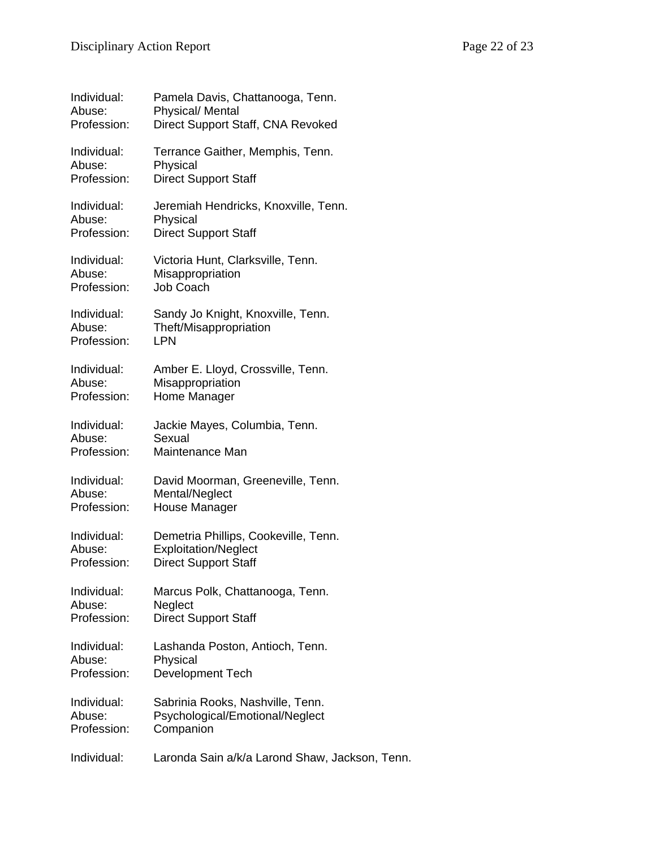| Individual: | Pamela Davis, Chattanooga, Tenn.               |
|-------------|------------------------------------------------|
| Abuse:      | <b>Physical/ Mental</b>                        |
| Profession: | Direct Support Staff, CNA Revoked              |
| Individual: | Terrance Gaither, Memphis, Tenn.               |
| Abuse:      | Physical                                       |
| Profession: | <b>Direct Support Staff</b>                    |
| Individual: | Jeremiah Hendricks, Knoxville, Tenn.           |
| Abuse:      | Physical                                       |
| Profession: | <b>Direct Support Staff</b>                    |
| Individual: | Victoria Hunt, Clarksville, Tenn.              |
| Abuse:      | Misappropriation                               |
| Profession: | Job Coach                                      |
| Individual: | Sandy Jo Knight, Knoxville, Tenn.              |
| Abuse:      | Theft/Misappropriation                         |
| Profession: | <b>LPN</b>                                     |
| Individual: | Amber E. Lloyd, Crossville, Tenn.              |
| Abuse:      | Misappropriation                               |
| Profession: | Home Manager                                   |
| Individual: | Jackie Mayes, Columbia, Tenn.                  |
| Abuse:      | Sexual                                         |
| Profession: | Maintenance Man                                |
| Individual: | David Moorman, Greeneville, Tenn.              |
| Abuse:      | Mental/Neglect                                 |
| Profession: | House Manager                                  |
| Individual: | Demetria Phillips, Cookeville, Tenn.           |
| Abuse:      | <b>Exploitation/Neglect</b>                    |
| Profession: | <b>Direct Support Staff</b>                    |
| Individual: | Marcus Polk, Chattanooga, Tenn.                |
| Abuse:      | Neglect                                        |
| Profession: | <b>Direct Support Staff</b>                    |
| Individual: | Lashanda Poston, Antioch, Tenn.                |
| Abuse:      | Physical                                       |
| Profession: | <b>Development Tech</b>                        |
| Individual: | Sabrinia Rooks, Nashville, Tenn.               |
| Abuse:      | Psychological/Emotional/Neglect                |
| Profession: | Companion                                      |
| Individual: | Laronda Sain a/k/a Larond Shaw, Jackson, Tenn. |